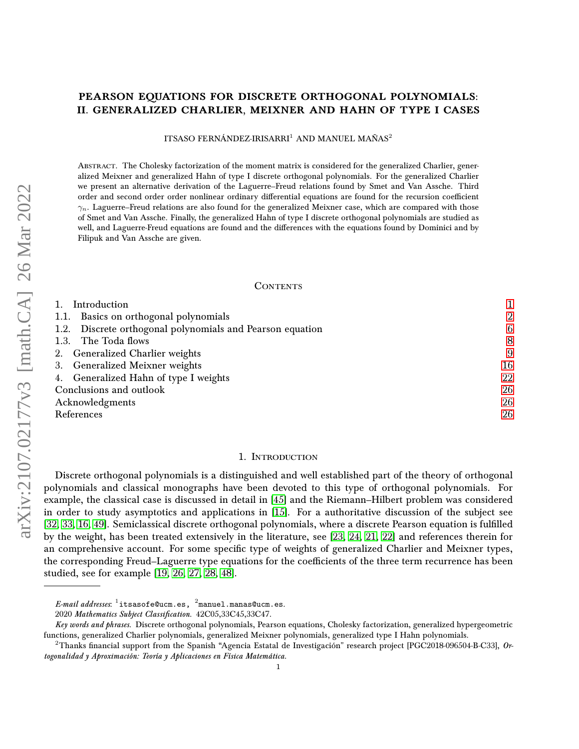## PEARSON EQUATIONS FOR DISCRETE ORTHOGONAL POLYNOMIALS: II. GENERALIZED CHARLIER, MEIXNER AND HAHN OF TYPE I CASES

ITSASO FERNÁNDEZ-IRISARRI<sup>1</sup> AND MANUEL MAÑAS<sup>2</sup>

Abstract. The Cholesky factorization of the moment matrix is considered for the generalized Charlier, generalized Meixner and generalized Hahn of type I discrete orthogonal polynomials. For the generalized Charlier we present an alternative derivation of the Laguerre–Freud relations found by Smet and Van Assche. Third order and second order order nonlinear ordinary differential equations are found for the recursion coefficient  $\gamma_n$ . Laguerre–Freud relations are also found for the generalized Meixner case, which are compared with those of Smet and Van Assche. Finally, the generalized Hahn of type I discrete orthogonal polynomials are studied as well, and Laguerre-Freud equations are found and the differences with the equations found by Dominici and by Filipuk and Van Assche are given.

### **CONTENTS**

| 1. Introduction                                           |                |
|-----------------------------------------------------------|----------------|
| 1.1. Basics on orthogonal polynomials                     | $\overline{2}$ |
| 1.2. Discrete orthogonal polynomials and Pearson equation | 6              |
| 1.3. The Toda flows                                       | 8              |
| 2. Generalized Charlier weights                           | 9              |
| 3. Generalized Meixner weights                            | 16             |
| 4. Generalized Hahn of type I weights                     | 22             |
| Conclusions and outlook                                   | 26             |
| Acknowledgments                                           | 26             |
| References                                                | 26             |

### 1. Introduction

<span id="page-0-0"></span>Discrete orthogonal polynomials is a distinguished and well established part of the theory of orthogonal polynomials and classical monographs have been devoted to this type of orthogonal polynomials. For example, the classical case is discussed in detail in [\[45\]](#page-27-0) and the Riemann–Hilbert problem was considered in order to study asymptotics and applications in [\[15\]](#page-26-0). For a authoritative discussion of the subject see [\[32,](#page-26-1) [33,](#page-27-1) [16,](#page-26-2) [49\]](#page-27-2). Semiclassical discrete orthogonal polynomials, where a discrete Pearson equation is fulfilled by the weight, has been treated extensively in the literature, see [\[23,](#page-26-3) [24,](#page-26-4) [21,](#page-26-5) [22\]](#page-26-6) and references therein for an comprehensive account. For some specific type of weights of generalized Charlier and Meixner types, the corresponding Freud–Laguerre type equations for the coefficients of the three term recurrence has been studied, see for example [\[19,](#page-26-7) [26,](#page-26-8) [27,](#page-26-9) [28,](#page-26-10) [48\]](#page-27-3).

 $\emph{E-mail addresses:}$   $^1$ itsasofe@ucm.es,  $^2$ manuel.manas@ucm.es.

<sup>2020</sup> Mathematics Subject Classification. 42C05,33C45,33C47.

Key words and phrases. Discrete orthogonal polynomials, Pearson equations, Cholesky factorization, generalized hypergeometric functions, generalized Charlier polynomials, generalized Meixner polynomials, generalized type I Hahn polynomials.

<sup>&</sup>lt;sup>2</sup>Thanks financial support from the Spanish "Agencia Estatal de Investigación" research project [PGC2018-096504-B-C33], Ortogonalidad y Aproximación: Teoría y Aplicaciones en Física Matemática.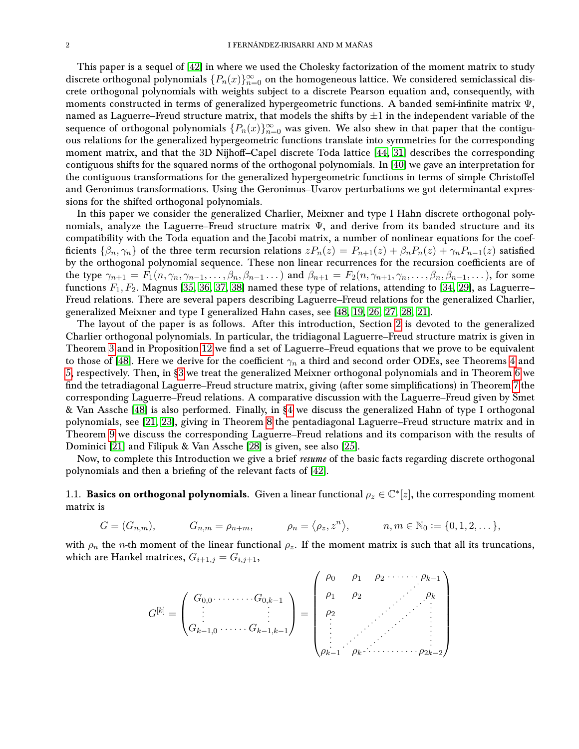This paper is a sequel of [\[42\]](#page-27-4) in where we used the Cholesky factorization of the moment matrix to study discrete orthogonal polynomials  $\{P_n(x)\}_{n=0}^{\infty}$  on the homogeneous lattice. We considered semiclassical discrete orthogonal polynomials with weights subject to a discrete Pearson equation and, consequently, with moments constructed in terms of generalized hypergeometric functions. A banded semi-infinite matrix Ψ, named as Laguerre–Freud structure matrix, that models the shifts by  $\pm 1$  in the independent variable of the sequence of orthogonal polynomials  $\{P_n(x)\}_{n=0}^{\infty}$  was given. We also shew in that paper that the contiguous relations for the generalized hypergeometric functions translate into symmetries for the corresponding moment matrix, and that the 3D Nijhoff–Capel discrete Toda lattice [\[44,](#page-27-5) [31\]](#page-26-11) describes the corresponding contiguous shifts for the squared norms of the orthogonal polynomials. In [\[40\]](#page-27-6) we gave an interpretation for the contiguous transformations for the generalized hypergeometric functions in terms of simple Christoffel and Geronimus transformations. Using the Geronimus–Uvarov perturbations we got determinantal expressions for the shifted orthogonal polynomials.

In this paper we consider the generalized Charlier, Meixner and type I Hahn discrete orthogonal polynomials, analyze the Laguerre–Freud structure matrix Ψ, and derive from its banded structure and its compatibility with the Toda equation and the Jacobi matrix, a number of nonlinear equations for the coefficients  $\{\beta_n, \gamma_n\}$  of the three term recursion relations  $zP_n(z) = P_{n+1}(z) + \beta_n P_n(z) + \gamma_n P_{n-1}(z)$  satisfied by the orthogonal polynomial sequence. These non linear recurrences for the recursion coefficients are of the type  $\gamma_{n+1} = F_1(n, \gamma_n, \gamma_{n-1}, \ldots, \beta_n, \beta_{n-1} \ldots)$  and  $\beta_{n+1} = F_2(n, \gamma_{n+1}, \gamma_n, \ldots, \beta_n, \beta_{n-1}, \ldots)$ , for some functions  $F_1, F_2$ . Magnus [\[35,](#page-27-7) [36,](#page-27-8) [37,](#page-27-9) [38\]](#page-27-10) named these type of relations, attending to [\[34,](#page-27-11) [29\]](#page-26-12), as Laguerre– Freud relations. There are several papers describing Laguerre–Freud relations for the generalized Charlier, generalized Meixner and type I generalized Hahn cases, see [\[48,](#page-27-3) [19,](#page-26-7) [26,](#page-26-8) [27,](#page-26-9) [28,](#page-26-10) [21\]](#page-26-5).

The layout of the paper is as follows. After this introduction, Section [2](#page-8-0) is devoted to the generalized Charlier orthogonal polynomials. In particular, the tridiagonal Laguerre–Freud structure matrix is given in Theorem [3](#page-8-1) and in Proposition [12](#page-12-0) we find a set of Laguerre–Freud equations that we prove to be equivalent to those of [\[48\]](#page-27-3). Here we derive for the coefficient  $\gamma_n$  a third and second order ODEs, see Theorems [4](#page-10-0) and [5,](#page-14-0) respectively. Then, in [§3](#page-15-0) we treat the generalized Meixner orthogonal polynomials and in Theorem [6](#page-16-0) we find the tetradiagonal Laguerre–Freud structure matrix, giving (after some simplifications) in Theorem [7](#page-20-0) the corresponding Laguerre–Freud relations. A comparative discussion with the Laguerre–Freud given by Smet & Van Assche [\[48\]](#page-27-3) is also performed. Finally, in [§4](#page-21-0) we discuss the generalized Hahn of type I orthogonal polynomials, see [\[21,](#page-26-5) [23\]](#page-26-3), giving in Theorem [8](#page-21-1) the pentadiagonal Laguerre–Freud structure matrix and in Theorem [9](#page-23-0) we discuss the corresponding Laguerre–Freud relations and its comparison with the results of Dominici [\[21\]](#page-26-5) and Filipuk & Van Assche [\[28\]](#page-26-10) is given, see also [\[25\]](#page-26-13).

Now, to complete this Introduction we give a brief *resume* of the basic facts regarding discrete orthogonal polynomials and then a briefing of the relevant facts of [\[42\]](#page-27-4).

<span id="page-1-0"></span>1.1. Basics on orthogonal polynomials. Given a linear functional  $\rho_z\in\mathbb{C}^*[z]$ , the corresponding moment matrix is

$$
G = (G_{n,m}), \qquad G_{n,m} = \rho_{n+m}, \qquad \rho_n = \langle \rho_z, z^n \rangle, \qquad n, m \in \mathbb{N}_0 := \{0, 1, 2, \dots\},
$$

with  $\rho_n$  the *n*-th moment of the linear functional  $\rho_z$ . If the moment matrix is such that all its truncations, which are Hankel matrices,  $G_{i+1,j} = G_{i,j+1}$ ,

 $\overline{ }$ 

 $\overline{\phantom{0}}$ 

$$
G^{[k]} = \begin{pmatrix} G_{0,0} \cdots \cdots \cdots G_{0,k-1} \\ \vdots & \vdots \\ G_{k-1,0} \cdots \cdots G_{k-1,k-1} \end{pmatrix} = \begin{pmatrix} \rho_0 & \rho_1 & \rho_2 & \cdots \cdots \rho_{k-1} \\ \rho_1 & \rho_2 & \cdots & \rho_k \\ \rho_2 & & \vdots & \vdots \\ \vdots & \ddots & \vdots & \vdots \\ \rho_{k-1} & \rho_k \cdots \cdots \cdots \rho_{2k-2} \end{pmatrix}
$$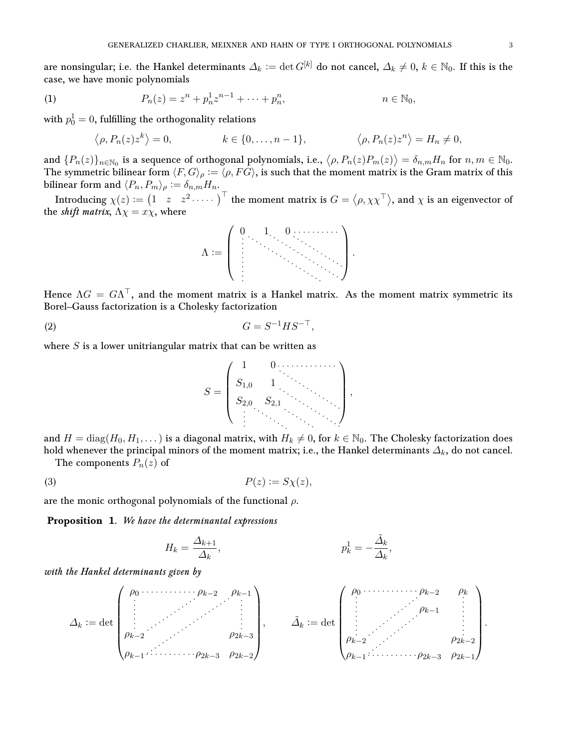are nonsingular; i.e. the Hankel determinants  $\Delta_k := \det G^{[k]}$  do not cancel,  $\Delta_k \neq 0, k \in \mathbb{N}_0$ . If this is the case, we have monic polynomials

<span id="page-2-1"></span>(1) 
$$
P_n(z) = z^n + p_n^1 z^{n-1} + \dots + p_n^n, \qquad n \in \mathbb{N}_0,
$$

with  $p_0^1=0,$  fulfilling the orthogonality relations

$$
\langle \rho, P_n(z) z^k \rangle = 0, \qquad k \in \{0, \dots, n-1\}, \qquad \langle \rho, P_n(z) z^n \rangle = H_n \neq 0,
$$

and  $\{P_n(z)\}_{n\in\mathbb{N}_0}$  is a sequence of orthogonal polynomials, i.e.,  $\langle \rho, P_n(z)P_m(z)\rangle = \delta_{n,m}H_n$  for  $n,m\in\mathbb{N}_0$ . The symmetric bilinear form  $\langle F, G \rangle_{\rho} := \langle \rho, F\bar{G} \rangle$ , is such that the moment matrix is the Gram matrix of this bilinear form and  $\langle P_n, P_m \rangle_\rho := \delta_{n,m}H_n$ .

Introducing  $\chi(z):=\begin{pmatrix}1&z&z^2\dots\cdots\end{pmatrix}^\top$  the moment matrix is  $G=\langle\rho,\chi\chi^\top\rangle,$  and  $\chi$  is an eigenvector of the *shift matrix*,  $\Lambda \chi = x \chi$ , where



Hence  $\Lambda G = G \Lambda^{\top}$ , and the moment matrix is a Hankel matrix. As the moment matrix symmetric its Borel–Gauss factorization is a Cholesky factorization

$$
(2) \tG = S^{-1}HS^{-\top},
$$

where  $S$  is a lower unitriangular matrix that can be written as



and  $H = diag(H_0, H_1, \dots)$  is a diagonal matrix, with  $H_k \neq 0$ , for  $k \in \mathbb{N}_0$ . The Cholesky factorization does hold whenever the principal minors of the moment matrix; i.e., the Hankel determinants  $\Delta_k$ , do not cancel.

The components  $P_n(z)$  of

<span id="page-2-0"></span>
$$
(3) \t\t\t P(z) := S\chi(z),
$$

are the monic orthogonal polynomials of the functional  $\rho$ .

<span id="page-2-2"></span>Proposition 1. We have the determinantal expressions

$$
H_k = \frac{\Delta_{k+1}}{\Delta_k}, \qquad p_k^1 = -\frac{\tilde{\Delta}_k}{\Delta_k},
$$

with the Hankel determinants given by

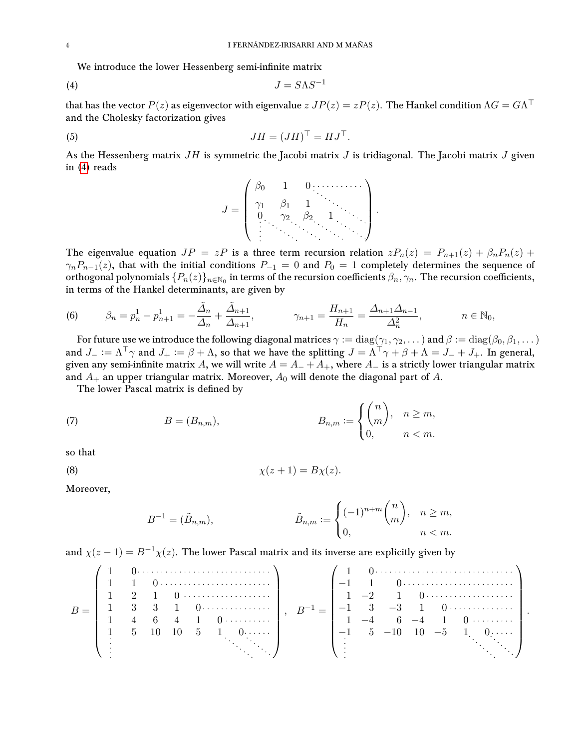We introduce the lower Hessenberg semi-infinite matrix

<span id="page-3-0"></span>
$$
(4) \t\t J = S\Lambda S^{-1}
$$

that has the vector  $P(z)$  as eigenvector with eigenvalue  $z$   $JP(z)=zP(z).$  The Hankel condition  $\Lambda G=G\Lambda^\top$ and the Cholesky factorization gives

$$
JH = (JH)^{\top} = HJ^{\top}.
$$

As the Hessenberg matrix  $JH$  is symmetric the Jacobi matrix  $J$  is tridiagonal. The Jacobi matrix  $J$  given in [\(4\)](#page-3-0) reads

J = β<sup>0</sup> 1 0 γ<sup>1</sup> β<sup>1</sup> 1 0 γ<sup>2</sup> β<sup>2</sup> 1 .

The eigenvalue equation  $JP = zP$  is a three term recursion relation  $zP_n(z) = P_{n+1}(z) + \beta_n P_n(z) +$  $\gamma_n P_{n-1}(z)$ , that with the initial conditions  $P_{-1} = 0$  and  $P_0 = 1$  completely determines the sequence of orthogonal polynomials  $\{P_n(z)\}_{n\in\mathbb{N}_0}$  in terms of the recursion coefficients  $\beta_n, \gamma_n$ . The recursion coefficients, in terms of the Hankel determinants, are given by

(6) 
$$
\beta_n = p_n^1 - p_{n+1}^1 = -\frac{\tilde{A}_n}{\Delta_n} + \frac{\tilde{A}_{n+1}}{\Delta_{n+1}}, \qquad \gamma_{n+1} = \frac{H_{n+1}}{H_n} = \frac{\Delta_{n+1}\Delta_{n-1}}{\Delta_n^2}, \qquad n \in \mathbb{N}_0,
$$

For future use we introduce the following diagonal matrices  $\gamma := diag(\gamma_1, \gamma_2, \dots)$  and  $\beta := diag(\beta_0, \beta_1, \dots)$ and  $J_- := \Lambda^{\top} \gamma$  and  $J_+ := \beta + \Lambda$ , so that we have the splitting  $J = \Lambda^{\top} \gamma + \beta + \Lambda = J_- + J_+$ . In general, given any semi-infinite matrix A, we will write  $A = A_{-} + A_{+}$ , where  $A_{-}$  is a strictly lower triangular matrix and  $A_+$  an upper triangular matrix. Moreover,  $A_0$  will denote the diagonal part of A.

The lower Pascal matrix is defined by

(7) 
$$
B = (B_{n,m}), \qquad B_{n,m} := \begin{cases} {n \choose m}, & n \geq m, \\ 0, & n < m. \end{cases}
$$

so that

$$
\chi(z+1) = B\chi(z).
$$

Moreover,

$$
B^{-1} = (\tilde{B}_{n,m}), \qquad \tilde{B}_{n,m} := \begin{cases} (-1)^{n+m} \binom{n}{m}, & n \ge m, \\ 0, & n < m. \end{cases}
$$

and  $\chi(z-1) = B^{-1}\chi(z)$ . The lower Pascal matrix and its inverse are explicitly given by

|       |  |  |                                                                    |  |  |  | $\sqrt{1}$ 0                        |  |
|-------|--|--|--------------------------------------------------------------------|--|--|--|-------------------------------------|--|
|       |  |  |                                                                    |  |  |  |                                     |  |
|       |  |  | $1 \quad 2 \quad 1 \quad 0 \quad \ldots \quad \ldots \quad \ldots$ |  |  |  | $1 \quad -2 \quad 1 \quad 0 \cdots$ |  |
| $B =$ |  |  |                                                                    |  |  |  |                                     |  |
|       |  |  | $1 \t 4 \t 6 \t 4 \t 1 \t 0 \cdots$                                |  |  |  | $1 -4 6 -4 1 0 \cdots$              |  |
|       |  |  | $1 \quad 5 \quad 10 \quad 10 \quad 5 \quad 1 \quad 0 \cdots$       |  |  |  | $-1$ 5 $-10$ 10 $-5$ 1 0            |  |
|       |  |  |                                                                    |  |  |  |                                     |  |
|       |  |  |                                                                    |  |  |  |                                     |  |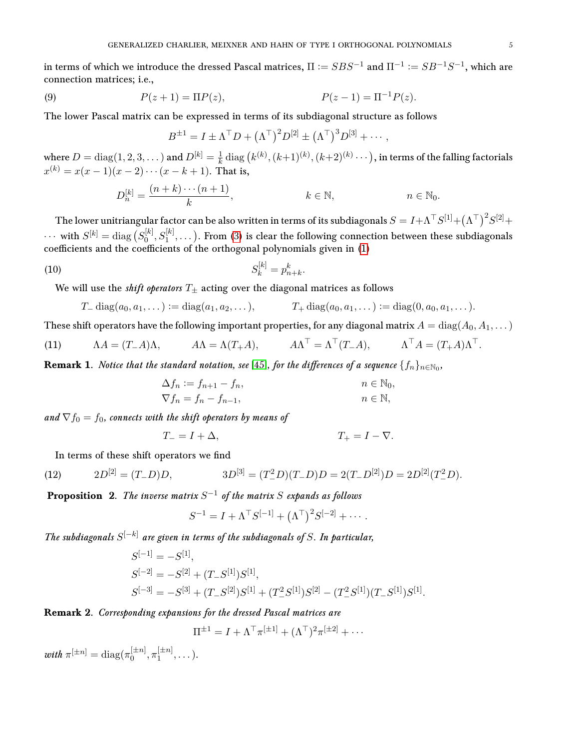in terms of which we introduce the dressed Pascal matrices,  $\Pi \coloneqq SBS^{-1}$  and  $\Pi^{-1} \coloneqq SB^{-1}S^{-1},$  which are connection matrices; i.e.,

<span id="page-4-0"></span>(9) 
$$
P(z+1) = \Pi P(z), \qquad P(z-1) = \Pi^{-1} P(z).
$$

The lower Pascal matrix can be expressed in terms of its subdiagonal structure as follows

$$
B^{\pm 1} = I \pm \Lambda^{\top} D + (\Lambda^{\top})^2 D^{[2]} \pm (\Lambda^{\top})^3 D^{[3]} + \cdots,
$$

where  $D = \text{diag}(1,2,3,\dots)$  and  $D^{[k]} = \frac{1}{k}$  $\frac{1}{k} \operatorname{diag} \big( k^{(k)},(k\!+\!1)^{(k)},(k\!+\!2)^{(k)}\cdots \big),$  in terms of the falling factorials  $x^{(k)} = x(x-1)(x-2)\cdots(x-k+1)$ . That is,

$$
D_n^{[k]} = \frac{(n+k)\cdots(n+1)}{k}, \qquad k \in \mathbb{N}, \qquad n \in \mathbb{N}_0.
$$

The lower unitriangular factor can be also written in terms of its subdiagonals  $S=I+\Lambda^\top S^{[1]}+(\Lambda^\top)^2 S^{[2]}+$  $\cdots$  with  $S^{[k]} = \text{diag} (S_0^{[k]})$  $\mathcal{S}^{[k]}_0, \mathcal{S}^{[k]}_1, \dots$  ). From [\(3\)](#page-2-0) is clear the following connection between these subdiagonals  $\alpha$  coefficients and the coefficients of the orthogonal polynomials given in [\(1\)](#page-2-1)

(10) 
$$
S_k^{[k]} = p_{n+k}^k.
$$

We will use the *shift operators*  $T_{\pm}$  acting over the diagonal matrices as follows

$$
T_{-} \operatorname{diag}(a_0, a_1, \dots) := \operatorname{diag}(a_1, a_2, \dots), \qquad T_{+} \operatorname{diag}(a_0, a_1, \dots) := \operatorname{diag}(0, a_0, a_1, \dots).
$$

These shift operators have the following important properties, for any diagonal matrix  $A = \text{diag}(A_0, A_1, \dots)$ 

<span id="page-4-1"></span>(11) 
$$
\Lambda A = (T - A)\Lambda, \qquad A\Lambda = \Lambda (T + A), \qquad A\Lambda^{\top} = \Lambda^{\top} (T - A), \qquad \Lambda^{\top} A = (T + A)\Lambda^{\top}.
$$

**Remark 1.** Notice that the standard notation, see [\[45\]](#page-27-0), for the differences of a sequence  $\{f_n\}_{n\in\mathbb{N}_0}$ ,

$$
\Delta f_n := f_{n+1} - f_n,
$$
  
\n
$$
\nabla f_n = f_n - f_{n-1},
$$
  
\n
$$
n \in \mathbb{N},
$$
  
\n
$$
n \in \mathbb{N},
$$

and  $\nabla f_0 = f_0$ , connects with the shift operators by means of

$$
T_{-} = I + \Delta, \qquad T_{+} = I - \nabla.
$$

In terms of these shift operators we find

<span id="page-4-2"></span>(12) 
$$
2D^{[2]} = (T - D)D, \qquad 3D^{[3]} = (T^2 - D)(T - D)D = 2(T - D^{[2]})D = 2D^{[2]}(T^2 - D).
$$

**Proposition** 2. The inverse matrix  $S^{-1}$  of the matrix S expands as follows

$$
S^{-1} = I + \Lambda^{\top} S^{[-1]} + (\Lambda^{\top})^2 S^{[-2]} + \cdots.
$$

The subdiagonals  $S^{[-k]}$  are given in terms of the subdiagonals of S. In particular,

$$
S^{[-1]} = -S^{[1]},
$$
  
\n
$$
S^{[-2]} = -S^{[2]} + (T - S^{[1]})S^{[1]},
$$
  
\n
$$
S^{[-3]} = -S^{[3]} + (T - S^{[2]})S^{[1]} + (T^2 - S^{[1]})S^{[2]} - (T^2 - S^{[1]})(T - S^{[1]})S^{[1]}.
$$

### Remark 2. Corresponding expansions for the dressed Pascal matrices are

$$
\Pi^{\pm 1} = I + \Lambda^{\top} \pi^{[\pm 1]} + (\Lambda^{\top})^2 \pi^{[\pm 2]} + \cdots
$$

with  $\pi^{[\pm n]} = \text{diag}(\pi_0^{[\pm n]})$  $\left[\pm n\right]_0, \pi_1^{\left[\pm n\right]}$  $1^{\pm n_1}, \ldots$ ).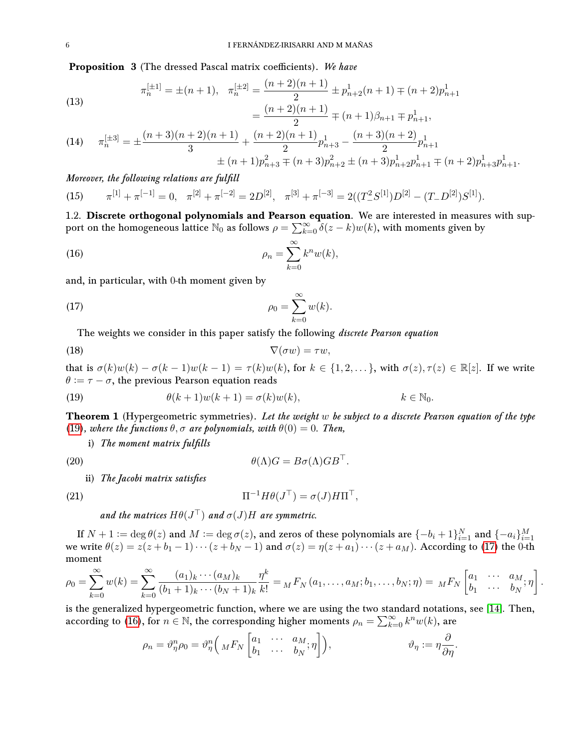**Proposition** 3 (The dressed Pascal matrix coefficients). We have

<span id="page-5-4"></span>(13) 
$$
\pi_n^{[\pm 1]} = \pm (n+1), \quad \pi_n^{[\pm 2]} = \frac{(n+2)(n+1)}{2} \pm p_{n+2}^1(n+1) \mp (n+2)p_{n+1}^1
$$

$$
= \frac{(n+2)(n+1)}{2} \mp (n+1)\beta_{n+1} \mp p_{n+1}^1,
$$

(14) 
$$
\pi_n^{[\pm 3]} = \pm \frac{(n+3)(n+2)(n+1)}{3} + \frac{(n+2)(n+1)}{2} p_{n+3}^1 - \frac{(n+3)(n+2)}{2} p_{n+1}^1 + (n+1)p_{n+3}^2 \mp (n+3)p_{n+2}^2 \pm (n+3)p_{n+2}^1 p_{n+1}^1 \mp (n+2)p_{n+3}^1 p_{n+1}^1.
$$

Moreover, the following relations are fulfill

<span id="page-5-5"></span>(15)  $\pi^{[1]} + \pi^{[-1]} = 0$ ,  $\pi^{[2]} + \pi^{[-2]} = 2D^{[2]}$ ,  $\pi^{[3]} + \pi^{[-3]} = 2((T^2 \mathcal{S}^{[1]})D^{[2]} - (T \mathcal{S}^{[2]})\mathcal{S}^{[1]}).$ 

<span id="page-5-0"></span>1.2. Discrete orthogonal polynomials and Pearson equation. We are interested in measures with support on the homogeneous lattice  $\mathbb{N}_0$  as follows  $\rho = \sum_{k=0}^{\infty} \delta(z-k)w(k)$ , with moments given by

<span id="page-5-3"></span>(16) 
$$
\rho_n = \sum_{k=0}^{\infty} k^n w(k),
$$

and, in particular, with 0-th moment given by

<span id="page-5-2"></span>
$$
\rho_0 = \sum_{k=0}^{\infty} w(k).
$$

The weights we consider in this paper satisfy the following *discrete Pearson equation* 

$$
\nabla(\sigma w) = \tau w,
$$

that is  $\sigma(k)w(k) - \sigma(k-1)w(k-1) = \tau(k)w(k)$ , for  $k \in \{1,2,...\}$ , with  $\sigma(z), \tau(z) \in \mathbb{R}[z]$ . If we write  $\theta := \tau - \sigma$ , the previous Pearson equation reads

<span id="page-5-1"></span>(19) 
$$
\theta(k+1)w(k+1) = \sigma(k)w(k), \qquad k \in \mathbb{N}_0.
$$

Theorem 1 (Hypergeometric symmetries). Let the weight w be subject to a discrete Pearson equation of the type [\(19\)](#page-5-1), where the functions  $\theta$ ,  $\sigma$  are polynomials, with  $\theta(0) = 0$ . Then,

i) The moment matrix fulfills

(20) 
$$
\theta(\Lambda)G = B\sigma(\Lambda)GB^{\top}.
$$

ii) The Jacobi matrix satisfies

(21) 
$$
\Pi^{-1} H \theta (J^{\top}) = \sigma (J) H \Pi^{\top},
$$

and the matrices  $H\theta(J^{\top})$  and  $\sigma(J)H$  are symmetric.

If  $N+1:=\deg\theta(z)$  and  $M:=\deg\sigma(z),$  and zeros of these polynomials are  $\{-b_i+1\}_{i=1}^N$  and  $\{-a_i\}_{i=1}^M$ we write  $\theta(z) = z(z + b_1 - 1) \cdots (z + b_N - 1)$  and  $\sigma(z) = \eta(z + a_1) \cdots (z + a_M)$ . According to [\(17\)](#page-5-2) the 0-th moment

$$
\rho_0 = \sum_{k=0}^{\infty} w(k) = \sum_{k=0}^{\infty} \frac{(a_1)_k \cdots (a_M)_k}{(b_1 + 1)_k \cdots (b_N + 1)_k} \frac{\eta^k}{k!} = {}_M F_N(a_1, \ldots, a_M; b_1, \ldots, b_N; \eta) = {}_M F_N \begin{bmatrix} a_1 & \cdots & a_M \\ b_1 & \cdots & b_N \end{bmatrix}.
$$

is the generalized hypergeometric function, where we are using the two standard notations, see [\[14\]](#page-26-14). Then, according to [\(16\)](#page-5-3), for  $n \in \mathbb{N}$ , the corresponding higher moments  $\rho_n = \sum_{k=0}^{\infty} k^n w(k)$ , are

$$
\rho_n = \vartheta_{\eta}^n \rho_0 = \vartheta_{\eta}^n \left( {}_{M} F_{N} \begin{bmatrix} a_1 & \cdots & a_M \\ b_1 & \cdots & b_N \end{bmatrix} \right), \qquad \vartheta_{\eta} := \eta \frac{\partial}{\partial \eta}.
$$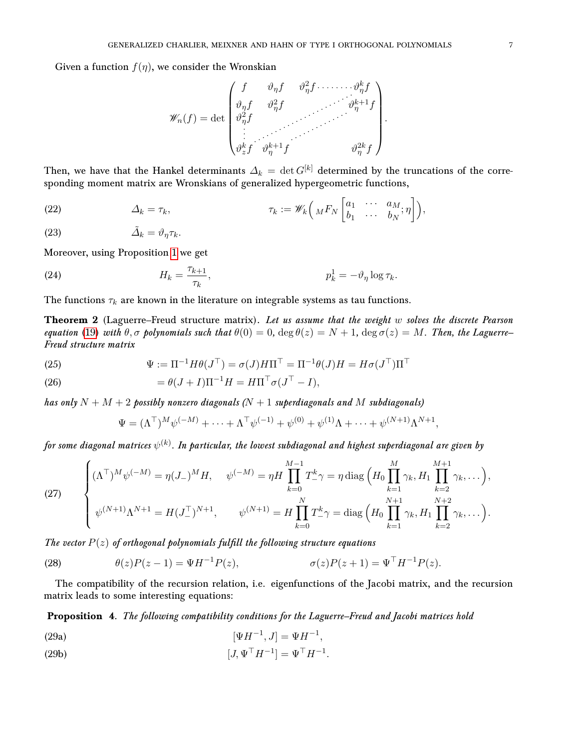Given a function  $f(\eta)$ , we consider the Wronskian

$$
\mathscr{W}_n(f) = \det \begin{pmatrix} f & \vartheta_{\eta} f & \vartheta_{\eta}^2 f & \cdots & \vartheta_{\eta}^k f \\ \vartheta_{\eta} f & \vartheta_{\eta}^2 f & & \vartheta_{\eta}^{k+1} f \\ \vartheta_{\eta}^2 f & & & \vdots \\ \vdots & & & \vdots \\ \vartheta_{z}^k f & \vartheta_{\eta}^{k+1} f & & \vartheta_{\eta}^{2k} f \end{pmatrix}
$$

.

Then, we have that the Hankel determinants  $\Delta_k = \det G^{[k]}$  determined by the truncations of the corresponding moment matrix are Wronskians of generalized hypergeometric functions,

(22) 
$$
\Delta_k = \tau_k, \qquad \tau_k := \mathscr{W}_k\left(MF_N\begin{bmatrix} a_1 & \cdots & a_M \\ b_1 & \cdots & b_N \end{bmatrix}\right),
$$

$$
\tilde{\Delta}_k = \vartheta_\eta \tau_k.
$$

Moreover, using Proposition [1](#page-2-2) we get

(24) 
$$
H_k = \frac{\tau_{k+1}}{\tau_k}, \qquad p_k^1 = -\vartheta_\eta \log \tau_k.
$$

The functions  $\tau_k$  are known in the literature on integrable systems as tau functions.

**Theorem 2** (Laguerre–Freud structure matrix). Let us assume that the weight w solves the discrete Pearson equation [\(19\)](#page-5-1) with  $\theta, \sigma$  polynomials such that  $\theta(0) = 0$ ,  $\deg \theta(z) = N + 1$ ,  $\deg \sigma(z) = M$ . Then, the Laguerre– Freud structure matrix

<span id="page-6-1"></span>(25) 
$$
\Psi := \Pi^{-1} H \theta(J^{\top}) = \sigma(J) H \Pi^{\top} = \Pi^{-1} \theta(J) H = H \sigma(J^{\top}) \Pi^{\top}
$$

(26) 
$$
= \theta(J+I)\Pi^{-1}H = H\Pi^{\top}\sigma(J^{\top} - I),
$$

has only  $N + M + 2$  possibly nonzero diagonals  $(N + 1$  superdiagonals and M subdiagonals)

$$
\Psi = (\Lambda^{\top})^M \psi^{(-M)} + \dots + \Lambda^{\top} \psi^{(-1)} + \psi^{(0)} + \psi^{(1)} \Lambda + \dots + \psi^{(N+1)} \Lambda^{N+1},
$$

for some diagonal matrices  $\psi^{(k)}.$  In particular, the lowest subdiagonal and highest superdiagonal are given by

<span id="page-6-2"></span>(27) 
$$
\begin{cases} (\Lambda^{\top})^{M} \psi^{(-M)} = \eta (J_{-})^{M} H, & \psi^{(-M)} = \eta H \prod_{k=0}^{M-1} T_{-}^{k} \gamma = \eta \operatorname{diag} \left( H_{0} \prod_{k=1}^{M} \gamma_{k}, H_{1} \prod_{k=2}^{M+1} \gamma_{k}, \dots \right), \\ \psi^{(N+1)} \Lambda^{N+1} = H (J_{-}^{\top})^{N+1}, & \psi^{(N+1)} = H \prod_{k=0}^{N} T_{-}^{k} \gamma = \operatorname{diag} \left( H_{0} \prod_{k=1}^{N+1} \gamma_{k}, H_{1} \prod_{k=2}^{N+2} \gamma_{k}, \dots \right). \end{cases}
$$

The vector  $P(z)$  of orthogonal polynomials fulfill the following structure equations

<span id="page-6-0"></span>(28) 
$$
\theta(z)P(z-1) = \Psi H^{-1}P(z), \qquad \sigma(z)P(z+1) = \Psi^{\top}H^{-1}P(z).
$$

The compatibility of the recursion relation, i.e. eigenfunctions of the Jacobi matrix, and the recursion matrix leads to some interesting equations:

Proposition 4. The following compatibility conditions for the Laguerre–Freud and Jacobi matrices hold

<span id="page-6-4"></span>(29a) 
$$
[\Psi H^{-1}, J] = \Psi H^{-1},
$$

<span id="page-6-3"></span>(29b) 
$$
[J, \Psi^{\top} H^{-1}] = \Psi^{\top} H^{-1}.
$$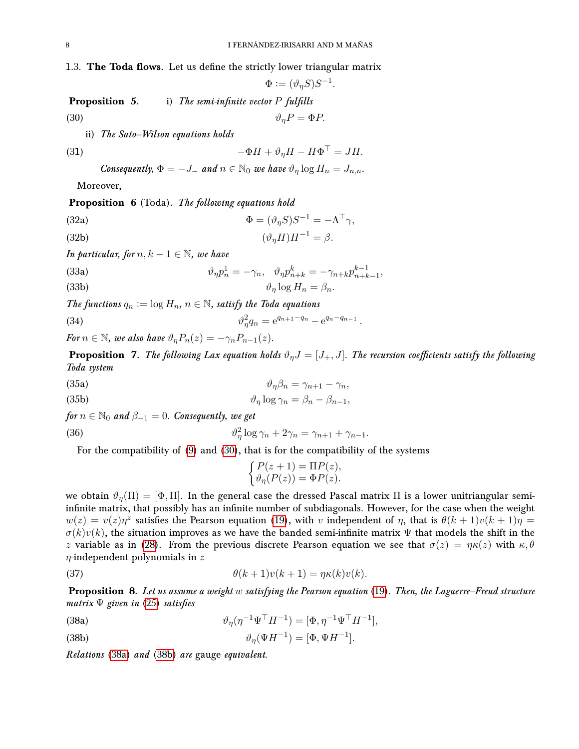<span id="page-7-0"></span>1.3. The Toda flows. Let us define the strictly lower triangular matrix

<span id="page-7-1"></span> $\Phi := (\vartheta_{\eta} S) S^{-1}.$ **Proposition** 5. i) The semi-infinite vector  $P$  fulfills (30)  $\vartheta_n P = \Phi P$ .

ii) The Sato–Wilson equations holds

(31) 
$$
-\Phi H + \vartheta_{\eta} H - H \Phi^{\top} = JH.
$$

Consequently,  $\Phi = -J_-$  and  $n \in \mathbb{N}_0$  we have  $\vartheta_\eta \log H_n = J_{n,n}$ .

Moreover,

Proposition 6 (Toda). The following equations hold

(32a)  
\n
$$
\Phi = (\vartheta_{\eta} S) S^{-1} = -\Lambda^{\top} \gamma,
$$
\n
$$
(\vartheta_{\eta} H) H^{-1} = \beta.
$$

In particular, for  $n, k - 1 \in \mathbb{N}$ , we have

(33a)  
\n
$$
\vartheta_{\eta} p_n^1 = -\gamma_n, \quad \vartheta_{\eta} p_{n+k}^k = -\gamma_{n+k} p_{n+k-1}^{k-1},
$$
\n
$$
\vartheta_{\eta} \log H_n = \beta_n.
$$

The functions  $q_n := \log H_n$ ,  $n \in \mathbb{N}$ , satisfy the Toda equations

(34)  $\vartheta_{\eta}^{2} q_{n} = e^{q_{n+1}-q_{n}} - e^{q_{n}-q_{n-1}}$ .

For  $n \in \mathbb{N}$ , we also have  $\vartheta_n P_n(z) = -\gamma_n P_{n-1}(z)$ .

<span id="page-7-7"></span>**Proposition** 7. The following Lax equation holds  $\vartheta_n J = [J_+, J]$ . The recursion coefficients satisfy the following Toda system

<span id="page-7-6"></span>(35a) 
$$
\vartheta_{\eta}\beta_{n} = \gamma_{n+1} - \gamma_{n},
$$

<span id="page-7-4"></span>(35b) 
$$
\vartheta_{\eta} \log \gamma_n = \beta_n - \beta_{n-1},
$$

for  $n \in \mathbb{N}_0$  and  $\beta_{-1} = 0$ . Consequently, we get

<span id="page-7-5"></span>(36) 
$$
\vartheta_{\eta}^{2} \log \gamma_{n} + 2\gamma_{n} = \gamma_{n+1} + \gamma_{n-1}.
$$

For the compatibility of [\(9\)](#page-4-0) and [\(30\)](#page-7-1), that is for the compatibility of the systems

$$
\begin{cases} P(z+1) = \Pi P(z), \\ \vartheta_{\eta}(P(z)) = \Phi P(z). \end{cases}
$$

we obtain  $\vartheta_{\eta}(\Pi) = [\Phi, \Pi]$ . In the general case the dressed Pascal matrix  $\Pi$  is a lower unitriangular semiinfinite matrix, that possibly has an infinite number of subdiagonals. However, for the case when the weight  $w(z) = v(z)\eta^z$  satisfies the Pearson equation [\(19\)](#page-5-1), with v independent of  $\eta$ , that is  $\theta(k+1)v(k+1)\eta =$  $\sigma(k)v(k)$ , the situation improves as we have the banded semi-infinite matrix  $\Psi$  that models the shift in the z variable as in [\(28\)](#page-6-0). From the previous discrete Pearson equation we see that  $\sigma(z) = \eta \kappa(z)$  with  $\kappa, \theta$  $\eta$ -independent polynomials in z

(37) 
$$
\theta(k+1)v(k+1) = \eta\kappa(k)v(k).
$$

**Proposition 8.** Let us assume a weight w satisfying the Pearson equation  $(19)$ . Then, the Laguerre–Freud structure matrix  $\Psi$  given in [\(25\)](#page-6-1) satisfies

<span id="page-7-2"></span>(38a)  $\vartheta_{\eta}(\eta^{-1}\Psi^{\top}H^{-1}) = [\Phi, \eta^{-1}\Psi^{\top}H^{-1}],$ 

<span id="page-7-3"></span>
$$
\vartheta_{\eta}(\Psi H^{-1}) = [\Phi, \Psi H^{-1}].
$$

Relations [\(38a\)](#page-7-2) and [\(38b\)](#page-7-3) are gauge equivalent.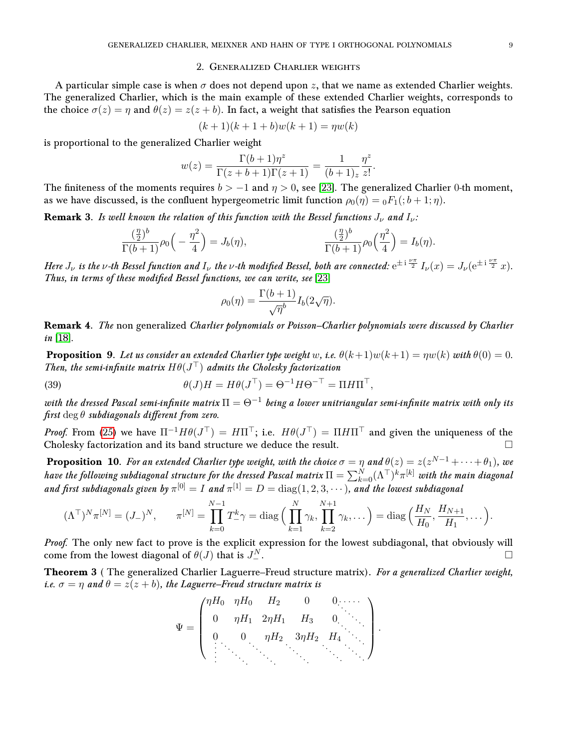### 2. Generalized Charlier weights

<span id="page-8-0"></span>A particular simple case is when  $\sigma$  does not depend upon z, that we name as extended Charlier weights. The generalized Charlier, which is the main example of these extended Charlier weights, corresponds to the choice  $\sigma(z) = \eta$  and  $\theta(z) = z(z + b)$ . In fact, a weight that satisfies the Pearson equation

$$
(k+1)(k+1+b)w(k+1) = \eta w(k)
$$

is proportional to the generalized Charlier weight

$$
w(z) = \frac{\Gamma(b+1)\eta^z}{\Gamma(z+b+1)\Gamma(z+1)} = \frac{1}{(b+1)_z} \frac{\eta^z}{z!}.
$$

The finiteness of the moments requires  $b > -1$  and  $\eta > 0$ , see [\[23\]](#page-26-3). The generalized Charlier 0-th moment, as we have discussed, is the confluent hypergeometric limit function  $\rho_0(\eta) = {}_0F_1( ; b+1; \eta)$ .

**Remark 3.** Is well known the relation of this function with the Bessel functions  $J_{\nu}$  and  $I_{\nu}$ :

$$
\frac{\left(\frac{\eta}{2}\right)^b}{\Gamma(b+1)}\rho_0\left(-\frac{\eta^2}{4}\right) = J_b(\eta), \qquad \frac{\left(\frac{\eta}{2}\right)^b}{\Gamma(b+1)}\rho_0\left(\frac{\eta^2}{4}\right) = I_b(\eta).
$$

Here  $J_\nu$  is the v-th Bessel function and  $I_\nu$  the v-th modified Bessel, both are connected:  ${\rm e}^{\pm\,{\rm i}\,\frac{\nu\pi}{2}}\,I_\nu(x)=J_\nu({\rm e}^{\pm\,{\rm i}\,\frac{\nu\pi}{2}}\,x).$ Thus, in terms of these modified Bessel functions, we can write, see [\[23\]](#page-26-3)

$$
\rho_0(\eta) = \frac{\Gamma(b+1)}{\sqrt{\eta}^b} I_b(2\sqrt{\eta}).
$$

Remark 4. The non generalized Charlier polynomials or Poisson–Charlier polynomials were discussed by Charlier in [\[18\]](#page-26-15).

**Proposition 9.** Let us consider an extended Charlier type weight w, i.e.  $\theta(k+1)w(k+1) = \eta w(k)$  with  $\theta(0) = 0$ . Then, the semi-infinite matrix  $H\theta(J^{\top})$  admits the Cholesky factorization

(39) 
$$
\theta(J)H = H\theta(J^{\top}) = \Theta^{-1}H\Theta^{-\top} = \Pi H\Pi^{\top},
$$

with the dressed Pascal semi-infinite matrix  $\Pi=\Theta^{-1}$  being a lower unitriangular semi-infinite matrix with only its  $first \deg \theta$  subdiagonals different from zero.

*Proof.* From [\(25\)](#page-6-1) we have  $\Pi^{-1}H\theta(J^{\top}) = H\Pi^{\top}$ ; i.e.  $H\theta(J^{\top}) = \Pi H\Pi^{\top}$  and given the uniqueness of the Cholesky factorization and its band structure we deduce the result.

**Proposition 10.** For an extended Charlier type weight, with the choice  $\sigma=\eta$  and  $\theta(z)=z(z^{N-1}+\cdots+\theta_1)$ , we have the following subdiagonal structure for the dressed Pascal matrix  $\Pi=\sum_{k=0}^N(\Lambda^\top)^k\pi^{[k]}$  with the main diagonal and first subdiagonals given by  $\pi^{[0]} = I$  and  $\pi^{[1]} = D = \text{diag}(1, 2, 3, \cdots)$ , and the lowest subdiagonal

$$
(\Lambda^{\top})^N \pi^{[N]} = (J_{-})^N, \qquad \pi^{[N]} = \prod_{k=0}^{N-1} T_{-}^k \gamma = \text{diag}\Big(\prod_{k=1}^N \gamma_k, \prod_{k=2}^{N+1} \gamma_k, \dots\Big) = \text{diag}\Big(\frac{H_N}{H_0}, \frac{H_{N+1}}{H_1}, \dots\Big).
$$

Proof. The only new fact to prove is the explicit expression for the lowest subdiagonal, that obviously will come from the lowest diagonal of  $\theta(J)$  that is  $J^N_{-}$  $\mathbb{Z}$ .

<span id="page-8-1"></span>Theorem 3 ( The generalized Charlier Laguerre–Freud structure matrix). For a generalized Charlier weight, i.e.  $\sigma = \eta$  and  $\theta = z(z + b)$ , the Laguerre–Freud structure matrix is

$$
\Psi = \begin{pmatrix}\n\eta H_0 & \eta H_0 & H_2 & 0 & 0 & \cdots \\
0 & \eta H_1 & 2\eta H_1 & H_3 & 0 & \cdots \\
0 & 0 & \eta H_2 & 3\eta H_2 & H_4 & \cdots \\
\vdots & \vdots & \ddots & \vdots & \ddots & \vdots\n\end{pmatrix}.
$$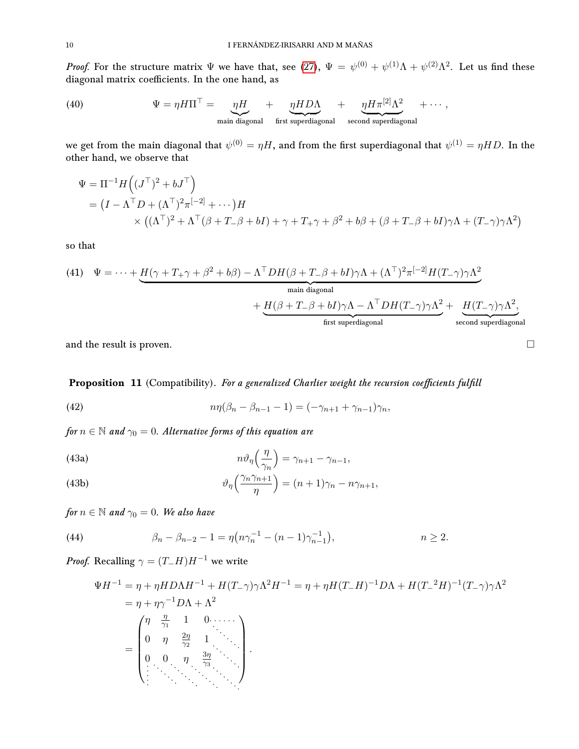*Proof.* For the structure matrix  $\Psi$  we have that, see [\(27\)](#page-6-2),  $\Psi = \psi^{(0)} + \psi^{(1)}\Lambda + \psi^{(2)}\Lambda^2$ . Let us find these diagonal matrix coefficients. In the one hand, as

<span id="page-9-4"></span>(40) 
$$
\Psi = \eta H \Pi^{\top} = \underbrace{\eta H}_{\text{main diagonal}} + \underbrace{\eta H D \Lambda}_{\text{first superdiagonal}} + \underbrace{\eta H \pi^{[2]} \Lambda^2}_{\text{second superdiagonal}} + \cdots,
$$

we get from the main diagonal that  $\psi^{(0)}=\eta H,$  and from the first superdiagonal that  $\psi^{(1)}=\eta HD.$  In the other hand, we observe that

$$
\Psi = \Pi^{-1} H ((J^{\top})^2 + bJ^{\top})
$$
  
=  $(I - \Lambda^{\top} D + (\Lambda^{\top})^2 \pi^{[-2]} + \cdots) H$   
 $\times ((\Lambda^{\top})^2 + \Lambda^{\top} (\beta + T_{-} \beta + bI) + \gamma + T_{+} \gamma + \beta^2 + b\beta + (\beta + T_{-} \beta + bI) \gamma \Lambda + (T_{-} \gamma) \gamma \Lambda^2)$ 

so that

<span id="page-9-5"></span>(41) 
$$
\Psi = \cdots + \underbrace{H(\gamma + T_+\gamma + \beta^2 + b\beta) - \Lambda^\top DH(\beta + T_-\beta + bI)\gamma\Lambda + (\Lambda^\top)^2 \pi^{[-2]}H(T_-\gamma)\gamma\Lambda^2}_{\text{main diagonal}} + \underbrace{H(\beta + T_-\beta + bI)\gamma\Lambda - \Lambda^\top DH(T_-\gamma)\gamma\Lambda^2}_{\text{first superdiagonal}} + \underbrace{H(T_-\gamma)\gamma\Lambda^2}_{\text{second superdiagonal}}.
$$

and the result is proven.

Proposition 11 (Compatibility). For a generalized Charlier weight the recursion coefficients fulfill

<span id="page-9-0"></span>(42) 
$$
n\eta(\beta_n - \beta_{n-1} - 1) = (-\gamma_{n+1} + \gamma_{n-1})\gamma_n,
$$

for  $n \in \mathbb{N}$  and  $\gamma_0 = 0$ . Alternative forms of this equation are

<span id="page-9-2"></span>(43a)  
\n
$$
n\vartheta_{\eta}\left(\frac{\eta}{\gamma_n}\right) = \gamma_{n+1} - \gamma_{n-1},
$$
\n
$$
\vartheta_{\eta}\left(\frac{\gamma_n \gamma_{n+1}}{\gamma_n}\right) = (n+1)\gamma_n = n\gamma.
$$

<span id="page-9-3"></span>(43b) 
$$
\vartheta_{\eta} \left( \frac{\gamma_n \gamma_{n+1}}{\eta} \right) = (n+1)\gamma_n - n\gamma_{n+1},
$$

for  $n \in \mathbb{N}$  and  $\gamma_0 = 0$ . We also have

<span id="page-9-1"></span>(44) 
$$
\beta_n - \beta_{n-2} - 1 = \eta \left( n \gamma_n^{-1} - (n-1) \gamma_{n-1}^{-1} \right), \qquad n \ge 2.
$$

*Proof.* Recalling  $\gamma = (T_-H)H^{-1}$  we write

$$
\Psi H^{-1} = \eta + \eta H D \Lambda H^{-1} + H(T_{-} \gamma) \gamma \Lambda^{2} H^{-1} = \eta + \eta H (T_{-} H)^{-1} D \Lambda + H (T_{-}^{2} H)^{-1} (T_{-} \gamma) \gamma \Lambda^{2}
$$
  
=  $\eta + \eta \gamma^{-1} D \Lambda + \Lambda^{2}$   
=  $\begin{pmatrix} \eta & \frac{\eta}{\gamma_{1}} & 1 & 0 \cdot \cdot \cdot \cdot \\ 0 & \eta & \frac{2\eta}{\gamma_{2}} & 1 \\ 0 & 0 & \eta & \frac{3\eta}{\gamma_{3}} & \cdot \cdot \\ \vdots & \vdots & \ddots & \ddots \end{pmatrix}$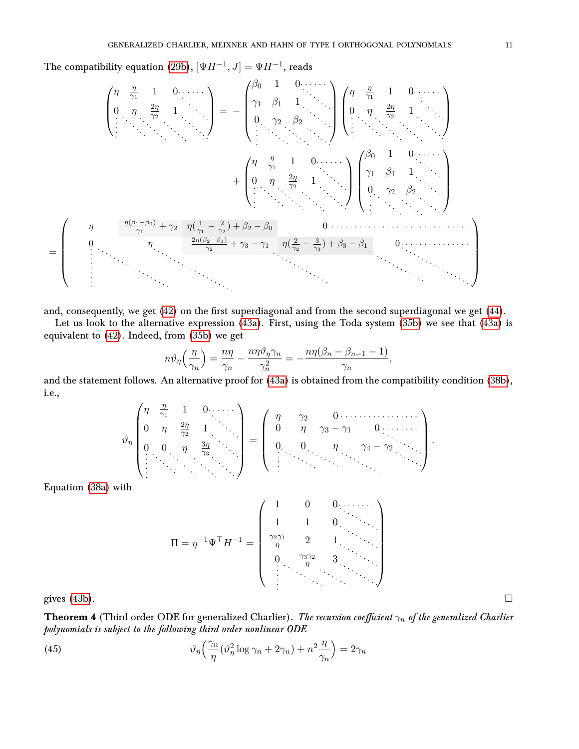The compatibility equation [\(29b\)](#page-6-3),  $[\Psi H^{-1}, J] = \Psi H^{-1}$ , reads

$$
\begin{pmatrix}\n\eta & \frac{\eta}{\gamma_1} & 1 & 0 & \cdots \\
0 & \eta & \frac{2\eta}{\gamma_2} & 1 \\
\vdots & \ddots & \ddots & \ddots\n\end{pmatrix} = - \begin{pmatrix}\n\beta_0 & 1 & 0 & \cdots \\
\gamma_1 & \beta_1 & 1 & \cdots \\
0 & \gamma_2 & \beta_2 & \cdots \\
\vdots & \ddots & \ddots & \ddots\n\end{pmatrix} \begin{pmatrix}\n\eta & \frac{\eta}{\gamma_1} & 1 & 0 & \cdots \\
0 & \eta & \frac{2\eta}{\gamma_2} & 1 & \cdots \\
\vdots & \ddots & \ddots & \ddots\n\end{pmatrix}
$$
\n
$$
+ \begin{pmatrix}\n\eta & \frac{\eta}{\gamma_1} & 1 & 0 & \cdots \\
0 & \eta & \frac{2\eta}{\gamma_2} & 1 & \cdots \\
\vdots & \ddots & \ddots & \ddots\n\end{pmatrix} \begin{pmatrix}\n\beta_0 & 1 & 0 & \cdots \\
\gamma_1 & \beta_1 & 1 & \cdots \\
0 & \gamma_2 & \beta_2 & \cdots \\
\vdots & \ddots & \ddots & \ddots\n\end{pmatrix}
$$
\n
$$
= \begin{pmatrix}\n\eta & \frac{\eta(\beta_1 - \beta_0)}{\gamma_1} + \gamma_2 & \eta(\frac{1}{\gamma_1} - \frac{2}{\gamma_2}) + \beta_2 - \beta_0 & 0 & \cdots & \cdots \\
\vdots & \ddots & \ddots & \ddots & \ddots & \ddots\n\end{pmatrix}
$$

and, consequently, we get [\(42\)](#page-9-0) on the first superdiagonal and from the second superdiagonal we get [\(44\)](#page-9-1).

Let us look to the alternative expression [\(43a\)](#page-9-2). First, using the Toda system [\(35b\)](#page-7-4) we see that [\(43a\)](#page-9-2) is equivalent to [\(42\)](#page-9-0). Indeed, from [\(35b\)](#page-7-4) we get

$$
n\vartheta_{\eta}\left(\frac{\eta}{\gamma_n}\right) = \frac{n\eta}{\gamma_n} - \frac{n\eta\vartheta_{\eta}\gamma_n}{\gamma_n^2} = -\frac{n\eta(\beta_n - \beta_{n-1} - 1)}{\gamma_n},
$$

and the statement follows. An alternative proof for [\(43a\)](#page-9-2) is obtained from the compatibility condition [\(38b\)](#page-7-3), i.e.,  $\overline{ }$ 

$$
\vartheta_{\eta} \begin{pmatrix} \eta & \frac{\eta}{\gamma_1} & 1 & 0 & \cdots & \cdots \\ 0 & \eta & \frac{2\eta}{\gamma_2} & 1 & \cdots & \vdots \\ 0 & 0 & \eta & \frac{3\eta}{\gamma_3} & \cdots & \vdots \\ \vdots & \vdots & \vdots & \ddots & \vdots & \ddots \end{pmatrix} = \begin{pmatrix} \eta & \gamma_2 & 0 & \cdots & \cdots & \cdots & \cdots \\ 0 & \eta & \gamma_3 - \gamma_1 & 0 & \cdots & \cdots & \cdots \\ 0 & 0 & \eta & \gamma_4 - \gamma_2 & \cdots & \vdots \\ \vdots & \vdots & \ddots & \ddots & \ddots & \ddots \end{pmatrix}.
$$

Equation [\(38a\)](#page-7-2) with

Π = η <sup>−</sup>1Ψ <sup>&</sup>gt;H−<sup>1</sup> = 1 0 0 1 1 0 γ2γ<sup>1</sup> η 2 1 0 γ3γ<sup>2</sup> η 3 gives [\(43b\)](#page-9-3).

<span id="page-10-0"></span>**Theorem 4** (Third order ODE for generalized Charlier). The recursion coefficient  $\gamma_n$  of the generalized Charlier polynomials is subject to the following third order nonlinear ODE

<span id="page-10-1"></span>(45) 
$$
\vartheta_{\eta} \left( \frac{\gamma_n}{\eta} (\vartheta_{\eta}^2 \log \gamma_n + 2\gamma_n) + n^2 \frac{\eta}{\gamma_n} \right) = 2\gamma_n
$$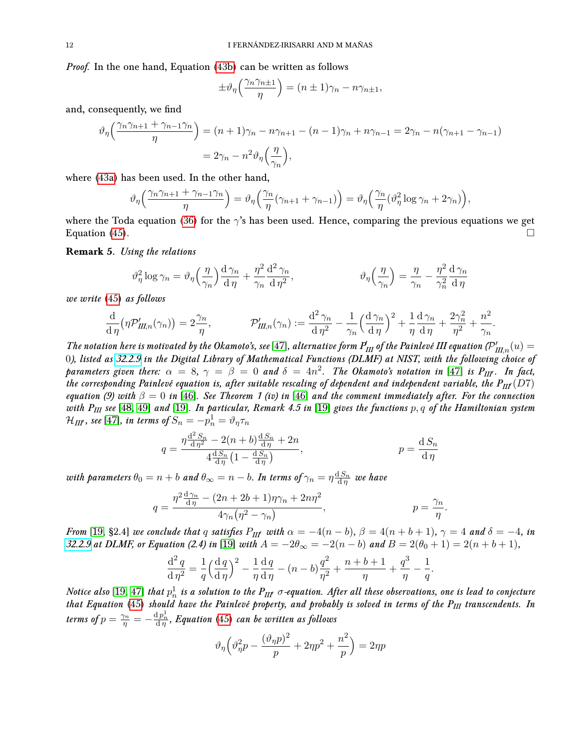Proof. In the one hand, Equation [\(43b\)](#page-9-3) can be written as follows

$$
\pm \vartheta_{\eta} \left( \frac{\gamma_n \gamma_{n\pm 1}}{\eta} \right) = (n \pm 1)\gamma_n - n\gamma_{n\pm 1},
$$

and, consequently, we find

$$
\vartheta_{\eta} \left( \frac{\gamma_n \gamma_{n+1} + \gamma_{n-1} \gamma_n}{\eta} \right) = (n+1)\gamma_n - n\gamma_{n+1} - (n-1)\gamma_n + n\gamma_{n-1} = 2\gamma_n - n(\gamma_{n+1} - \gamma_{n-1})
$$

$$
= 2\gamma_n - n^2 \vartheta_{\eta} \left( \frac{\eta}{\gamma_n} \right),
$$

where [\(43a\)](#page-9-2) has been used. In the other hand,

$$
\vartheta_{\eta}\left(\frac{\gamma_{n}\gamma_{n+1}+\gamma_{n-1}\gamma_{n}}{\eta}\right)=\vartheta_{\eta}\left(\frac{\gamma_{n}}{\eta}(\gamma_{n+1}+\gamma_{n-1})\right)=\vartheta_{\eta}\left(\frac{\gamma_{n}}{\eta}(\vartheta_{\eta}^{2}\log\gamma_{n}+2\gamma_{n})\right),
$$

where the Toda equation [\(36\)](#page-7-5) for the  $\gamma$ 's has been used. Hence, comparing the previous equations we get Equation [\(45\)](#page-10-1).

Remark 5. Using the relations

$$
\vartheta_{\eta}^{2} \log \gamma_{n} = \vartheta_{\eta} \left(\frac{\eta}{\gamma_{n}}\right) \frac{\mathrm{d}\,\gamma_{n}}{\mathrm{d}\,\eta} + \frac{\eta^{2}}{\gamma_{n}} \frac{\mathrm{d}^{2}\,\gamma_{n}}{\mathrm{d}\,\eta^{2}}, \qquad \qquad \vartheta_{\eta} \left(\frac{\eta}{\gamma_{n}}\right) = \frac{\eta}{\gamma_{n}} - \frac{\eta^{2}}{\gamma_{n}^{2}} \frac{\mathrm{d}\,\gamma_{n}}{\mathrm{d}\,\eta}
$$

we write [\(45\)](#page-10-1) as follows

$$
\frac{\mathrm{d}}{\mathrm{d}\,\eta} \big(\eta \mathcal{P}'_{\mathit{III},n}(\gamma_n)\big) = 2\frac{\gamma_n}{\eta}, \qquad \qquad \mathcal{P}'_{\mathit{III},n}(\gamma_n) := \frac{\mathrm{d}^2\,\gamma_n}{\mathrm{d}\,\eta^2} - \frac{1}{\gamma_n} \Big(\frac{\mathrm{d}\,\gamma_n}{\mathrm{d}\,\eta}\Big)^2 + \frac{1}{\eta}\frac{\mathrm{d}\,\gamma_n}{\mathrm{d}\,\eta} + \frac{2\gamma_n^2}{\eta^2} + \frac{n^2}{\gamma_n}
$$

.

.

The notation here is motivated by the Okamoto's, see [\[47\]](#page-27-12), alternative form  $P_{III}^{\prime}$  of the Painlevé III equation ( $\mathcal{P}_{III,n}^{\prime}(u)=0$ 0), listed as [32.2.9](https://dlmf.nist.gov/32.2) in the Digital Library of Mathematical Functions (DLMF) at NIST, with the following choice of parameters given there:  $\alpha = 8$ ,  $\gamma = \beta = 0$  and  $\delta = 4n^2$ . The Okamoto's notation in [\[47\]](#page-27-12) is  $P_{III}$ . In fact, the corresponding Painlevé equation is, after suitable rescaling of dependent and independent variable, the  $P_{III}(D7)$ equation (9) with  $\beta = 0$  in [\[46\]](#page-27-13). See Theorem 1 (iv) in [46] and the comment immediately after. For the connection with  $P_{III}$  see [\[48,](#page-27-3) [49\]](#page-27-2) and [\[19\]](#page-26-7). In particular, Remark 4.5 in [19] gives the functions  $p, q$  of the Hamiltonian system  $\mathcal{H}_{I\!I\!I\!I}$ , see [\[47\]](#page-27-12), in terms of  $S_n=-\stackrel{\_}{p}^1_n=\vartheta_\eta\tau_n$ 

$$
q = \frac{\eta \frac{d^2 S_n}{d \eta^2} - 2(n+b) \frac{d S_n}{d \eta} + 2n}{4 \frac{d S_n}{d \eta} \left(1 - \frac{d S_n}{d \eta}\right)}, \qquad p = \frac{d S_n}{d \eta}
$$

with parameters  $\theta_0=n+b$  and  $\theta_\infty=n-b.$  In terms of  $\gamma_n=\eta\frac{{\rm d}\, S_n}{\rm d}\,\eta$  we have

$$
q = \frac{\eta^2 \frac{d\gamma_n}{d\eta} - (2n + 2b + 1)\eta\gamma_n + 2n\eta^2}{4\gamma_n(\eta^2 - \gamma_n)}, \qquad p = \frac{\gamma_n}{\eta}.
$$

From [\[19,](#page-26-7) §2.4] we conclude that q satisfies  $P_{III'}$  with  $\alpha = -4(n - b)$ ,  $\beta = 4(n + b + 1)$ ,  $\gamma = 4$  and  $\delta = -4$ , in [32.2.9](https://dlmf.nist.gov/32.2) at DLMF, or Equation (2.4) in [\[19\]](#page-26-7) with  $A = -2\theta_{\infty} = -2(n - b)$  and  $B = 2(\theta_0 + 1) = 2(n + b + 1)$ ,

$$
\frac{d^2 q}{d \eta^2} = \frac{1}{q} \left( \frac{dq}{d \eta} \right)^2 - \frac{1}{\eta} \frac{dq}{d \eta} - (n - b) \frac{q^2}{\eta^2} + \frac{n + b + 1}{\eta} + \frac{q^3}{\eta} - \frac{1}{q}
$$

Notice also  $[19,\,47]$  $[19,\,47]$  that  $p_n^1$  is a solution to the  $P_{III'}$   $\sigma$ -equation. After all these observations, one is lead to conjecture that Equation [\(45\)](#page-10-1) should have the Painlevé property, and probably is solved in terms of the  $P_{III}$  transcendents. In terms of  $p = \frac{\gamma_n}{\eta} = -\frac{d p_n^1}{d \eta}$ , Equation [\(45\)](#page-10-1) can be written as follows

$$
\vartheta_{\eta} \left( \vartheta_{\eta}^2 p - \frac{(\vartheta_{\eta} p)^2}{p} + 2\eta p^2 + \frac{n^2}{p} \right) = 2\eta p
$$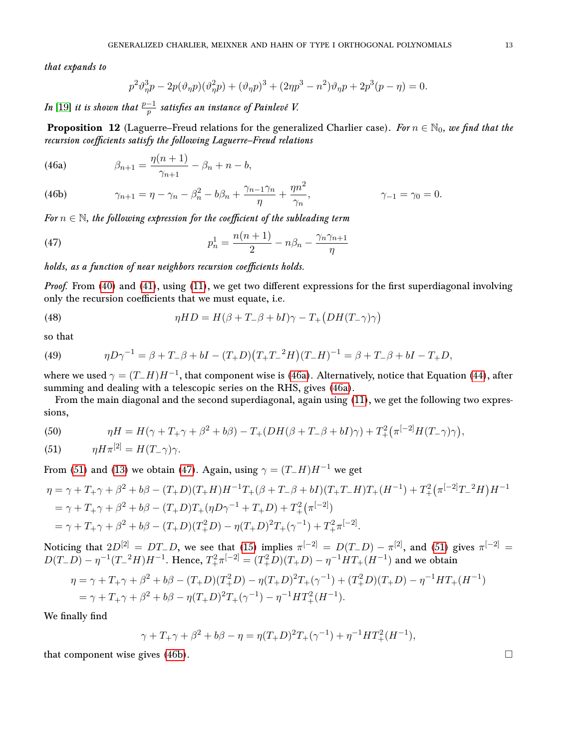that expands to

$$
p^{2}\vartheta_{\eta}^{3}p - 2p(\vartheta_{\eta}p)(\vartheta_{\eta}^{2}p) + (\vartheta_{\eta}p)^{3} + (2\eta p^{3} - n^{2})\vartheta_{\eta}p + 2p^{3}(p - \eta) = 0.
$$

In  $[19]$  it is shown that  $\frac{p-1}{p}$  satisfies an instance of Painlevé V.

<span id="page-12-0"></span>**Proposition 12** (Laguerre–Freud relations for the generalized Charlier case). For  $n \in \mathbb{N}_0$ , we find that the recursion coefficients satisfy the following Laguerre–Freud relations

<span id="page-12-1"></span>(46a) 
$$
\beta_{n+1} = \frac{\eta(n+1)}{\gamma_{n+1}} - \beta_n + n - b,
$$

<span id="page-12-4"></span> $\gamma_{n+1} = \eta - \gamma_n - \beta_n^2 - b\beta_n + \frac{\gamma_{n-1}\gamma_n}{n}$  $\frac{-1}{\eta} \eta + \frac{\eta n^2}{\gamma_n}$ (46b)  $\gamma_{n+1} = \eta - \gamma_n - \beta_n^2 - b\beta_n + \frac{\gamma_{n-1}\gamma_n}{\eta} + \frac{\eta n}{\gamma_n}, \qquad \gamma_{-1} = \gamma_0 = 0.$ 

For  $n \in \mathbb{N}$ , the following expression for the coefficient of the subleading term

<span id="page-12-3"></span>(47) 
$$
p_n^1 = \frac{n(n+1)}{2} - n\beta_n - \frac{\gamma_n \gamma_{n+1}}{\eta}
$$

holds, as a function of near neighbors recursion coefficients holds.

*Proof.* From [\(40\)](#page-9-4) and [\(41\)](#page-9-5), using [\(11\)](#page-4-1), we get two different expressions for the first superdiagonal involving only the recursion coefficients that we must equate, i.e.

(48) 
$$
\eta HD = H(\beta + T_{-}\beta + bI)\gamma - T_{+}(DH(T_{-}\gamma)\gamma)
$$

so that

(49) 
$$
\eta D\gamma^{-1} = \beta + T_-\beta + bI - (T_+D)(T_+T_-^2H)(T_-H)^{-1} = \beta + T_-\beta + bI - T_+D,
$$

where we used  $\gamma = (T_- H) H^{-1}$ , that component wise is [\(46a\)](#page-12-1). Alternatively, notice that Equation [\(44\)](#page-9-1), after summing and dealing with a telescopic series on the RHS, gives [\(46a\)](#page-12-1).

From the main diagonal and the second superdiagonal, again using [\(11\)](#page-4-1), we get the following two expressions,

(50) 
$$
\eta H = H(\gamma + T_+ \gamma + \beta^2 + b\beta) - T_+(DH(\beta + T_- \beta + bI)\gamma) + T_+^2 (\pi^{[-2]} H(T_- \gamma)\gamma),
$$

<span id="page-12-2"></span>(51) 
$$
\eta H \pi^{[2]} = H(T - \gamma)\gamma.
$$

From [\(51\)](#page-12-2) and [\(13\)](#page-5-4) we obtain [\(47\)](#page-12-3). Again, using  $\gamma = (T_{-}H)H^{-1}$  we get

$$
\eta = \gamma + T_+ \gamma + \beta^2 + b\beta - (T_+ D)(T_+ H)H^{-1}T_+(\beta + T_-\beta + bI)(T_+ T_- H)T_+(H^{-1}) + T_+^2 \left(\pi^{[-2]} T_-^2 H\right)H^{-1}
$$
  
=  $\gamma + T_+ \gamma + \beta^2 + b\beta - (T_+ D)T_+(\eta D\gamma^{-1} + T_+ D) + T_+^2 \left(\pi^{[-2]}\right)$   
=  $\gamma + T_+ \gamma + \beta^2 + b\beta - (T_+ D)(T_+^2 D) - \eta (T_+ D)^2 T_+(\gamma^{-1}) + T_+^2 \pi^{[-2]}.$ 

Noticing that  $2D^{[2]} = DT_-D$ , we see that [\(15\)](#page-5-5) implies  $\pi^{[-2]} = D(T_-D) - \pi^{[2]}$ , and [\(51\)](#page-12-2) gives  $\pi^{[-2]} =$  $D(T_{-}D) - \eta^{-1}(T_{-}^2H)H^{-1}$ . Hence,  $T_{+}^2\pi^{[-2]} = (T_{+}^2D)(T_{+}D) - \eta^{-1}HT_{+}(H^{-1})$  and we obtain

$$
\eta = \gamma + T_+ \gamma + \beta^2 + b\beta - (T_+ D)(T_+^2 D) - \eta (T_+ D)^2 T_+ (\gamma^{-1}) + (T_+^2 D)(T_+ D) - \eta^{-1} H T_+ (H^{-1})
$$
  
=  $\gamma + T_+ \gamma + \beta^2 + b\beta - \eta (T_+ D)^2 T_+ (\gamma^{-1}) - \eta^{-1} H T_+^2 (H^{-1}).$ 

We finally find

$$
\gamma + T_+ \gamma + \beta^2 + b\beta - \eta = \eta (T_+ D)^2 T_+ (\gamma^{-1}) + \eta^{-1} H T_+^2 (H^{-1}),
$$

that component wise gives [\(46b\)](#page-12-4).  $\Box$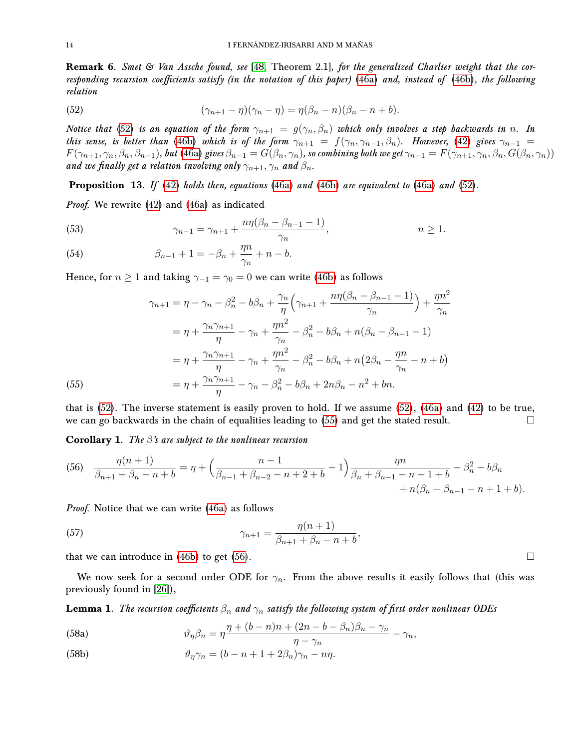Remark 6. Smet & Van Assche found, see [\[48,](#page-27-3) Theorem 2.1], for the generalized Charlier weight that the cor-responding recursion coefficients satisfy (in the notation of this paper) [\(46a\)](#page-12-1) and, instead of [\(46b\)](#page-12-4), the following relation

<span id="page-13-0"></span>(52) 
$$
(\gamma_{n+1} - \eta)(\gamma_n - \eta) = \eta(\beta_n - n)(\beta_n - n + b).
$$

Notice that [\(52\)](#page-13-0) is an equation of the form  $\gamma_{n+1} = g(\gamma_n, \beta_n)$  which only involves a step backwards in n. In this sense, is better than [\(46b\)](#page-12-4) which is of the form  $\gamma_{n+1} = f(\gamma_n, \gamma_{n-1}, \beta_n)$ . However, [\(42\)](#page-9-0) gives  $\gamma_{n-1} =$  $F(\gamma_{n+1},\gamma_n,\beta_n,\beta_{n-1}),$  but [\(46a\)](#page-12-1) gives  $\beta_{n-1}=G(\beta_n,\gamma_n)$ , so combining both we get  $\gamma_{n-1}=F(\gamma_{n+1},\gamma_n,\beta_n,G(\beta_n,\gamma_n))$ and we finally get a relation involving only  $\gamma_{n+1}, \gamma_n$  and  $\beta_n$ .

**Proposition 13.** If [\(42\)](#page-9-0) holds then, equations [\(46a\)](#page-12-1) and [\(46b\)](#page-12-4) are equivalent to (46a) and [\(52\)](#page-13-0).

Proof. We rewrite [\(42\)](#page-9-0) and [\(46a\)](#page-12-1) as indicated

(53) 
$$
\gamma_{n-1} = \gamma_{n+1} + \frac{n\eta(\beta_n - \beta_{n-1} - 1)}{\gamma_n}, \qquad n \ge 1.
$$

(54) 
$$
\beta_{n-1} + 1 = -\beta_n + \frac{\eta^n}{\gamma_n} + n - b.
$$

Hence, for  $n \ge 1$  and taking  $\gamma_{-1} = \gamma_0 = 0$  we can write [\(46b\)](#page-12-4) as follows

$$
\gamma_{n+1} = \eta - \gamma_n - \beta_n^2 - b\beta_n + \frac{\gamma_n}{\eta} \left( \gamma_{n+1} + \frac{n\eta(\beta_n - \beta_{n-1} - 1)}{\gamma_n} \right) + \frac{\eta n^2}{\gamma_n}
$$
  
=  $\eta + \frac{\gamma_n \gamma_{n+1}}{\eta} - \gamma_n + \frac{\eta n^2}{\gamma_n} - \beta_n^2 - b\beta_n + n(\beta_n - \beta_{n-1} - 1)$   
=  $\eta + \frac{\gamma_n \gamma_{n+1}}{\eta} - \gamma_n + \frac{\eta n^2}{\gamma_n} - \beta_n^2 - b\beta_n + n(2\beta_n - \frac{\eta n}{\gamma_n} - n + b)$   
(55)  
=  $\eta + \frac{\gamma_n \gamma_{n+1}}{\eta} - \gamma_n - \beta_n^2 - b\beta_n + 2n\beta_n - n^2 + bn.$ 

<span id="page-13-1"></span>that is [\(52\)](#page-13-0). The inverse statement is easily proven to hold. If we assume [\(52\)](#page-13-0), [\(46a\)](#page-12-1) and [\(42\)](#page-9-0) to be true, we can go backwards in the chain of equalities leading to  $(55)$  and get the stated result.

**Corollary 1.** The  $\beta$ 's are subject to the nonlinear recursion

<span id="page-13-2"></span>(56) 
$$
\frac{\eta(n+1)}{\beta_{n+1} + \beta_n - n + b} = \eta + \left(\frac{n-1}{\beta_{n-1} + \beta_{n-2} - n + 2 + b} - 1\right) \frac{\eta n}{\beta_n + \beta_{n-1} - n + 1 + b} - \beta_n^2 - b\beta_n + n(\beta_n + \beta_{n-1} - n + 1 + b).
$$

Proof. Notice that we can write [\(46a\)](#page-12-1) as follows

(57) 
$$
\gamma_{n+1} = \frac{\eta(n+1)}{\beta_{n+1} + \beta_n - n + b},
$$

that we can introduce in [\(46b\)](#page-12-4) to get [\(56\)](#page-13-2).

We now seek for a second order ODE for  $\gamma_n$ . From the above results it easily follows that (this was previously found in [\[26\]](#page-26-8)),

**Lemma 1.** The recursion coefficients  $\beta_n$  and  $\gamma_n$  satisfy the following system of first order nonlinear ODEs

<span id="page-13-3"></span>(58a) 
$$
\vartheta_{\eta} \beta_n = \eta \frac{\eta + (b-n)n + (2n - b - \beta_n)\beta_n - \gamma_n}{\eta - \gamma_n} - \gamma_n,
$$

<span id="page-13-4"></span>(58b) 
$$
\vartheta_{\eta} \gamma_n = (b - n + 1 + 2\beta_n)\gamma_n - n\eta.
$$

<span id="page-13-5"></span>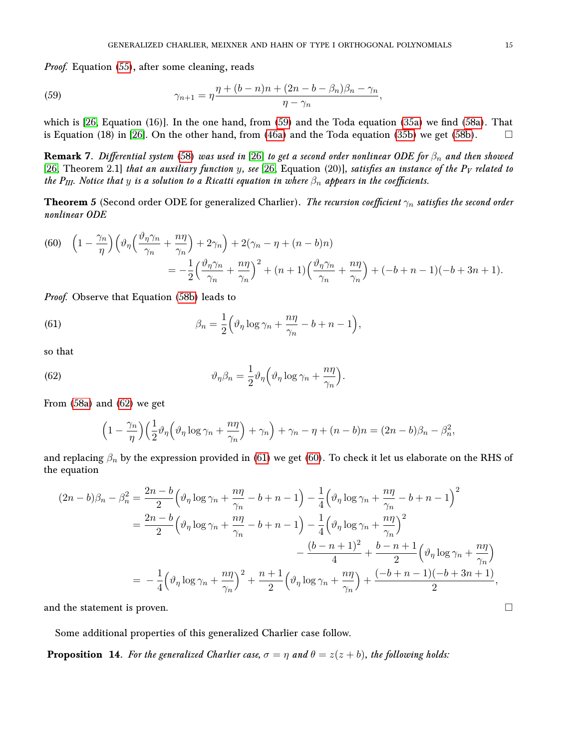Proof. Equation [\(55\)](#page-13-1), after some cleaning, reads

<span id="page-14-1"></span>(59) 
$$
\gamma_{n+1} = \eta \frac{\eta + (b-n)n + (2n - b - \beta_n)\beta_n - \gamma_n}{\eta - \gamma_n},
$$

which is  $[26, Equation (16)]$  $[26, Equation (16)]$ . In the one hand, from  $(59)$  and the Toda equation  $(35a)$  we find  $(58a)$ . That is Equation (18) in [\[26\]](#page-26-8). On the other hand, from [\(46a\)](#page-12-1) and the Toda equation [\(35b\)](#page-7-4) we get [\(58b\)](#page-13-4).  $\Box$ 

**Remark 7.** Differential system [\(58\)](#page-13-5) was used in [\[26\]](#page-26-8) to get a second order nonlinear ODE for  $\beta_n$  and then showed [\[26,](#page-26-8) Theorem 2.1] that an auxiliary function y, see [26, Equation (20)], satisfies an instance of the  $P_V$  related to the P<sub>III</sub>. Notice that y is a solution to a Ricatti equation in where  $\beta_n$  appears in the coefficients.

<span id="page-14-0"></span>**Theorem 5** (Second order ODE for generalized Charlier). The recursion coefficient  $\gamma_n$  satisfies the second order nonlinear ODE

<span id="page-14-4"></span>(60) 
$$
\left(1 - \frac{\gamma_n}{\eta}\right)\left(\vartheta_\eta\left(\frac{\vartheta_\eta \gamma_n}{\gamma_n} + \frac{n\eta}{\gamma_n}\right) + 2\gamma_n\right) + 2(\gamma_n - \eta + (n-b)n)
$$

$$
= -\frac{1}{2}\left(\frac{\vartheta_\eta \gamma_n}{\gamma_n} + \frac{n\eta}{\gamma_n}\right)^2 + (n+1)\left(\frac{\vartheta_\eta \gamma_n}{\gamma_n} + \frac{n\eta}{\gamma_n}\right) + (-b+n-1)(-b+3n+1).
$$

*Proof.* Observe that Equation [\(58b\)](#page-13-4) leads to

<span id="page-14-3"></span>(61) 
$$
\beta_n = \frac{1}{2} \left( \vartheta_\eta \log \gamma_n + \frac{n\eta}{\gamma_n} - b + n - 1 \right),
$$

so that

<span id="page-14-2"></span>(62) 
$$
\vartheta_{\eta} \beta_{n} = \frac{1}{2} \vartheta_{\eta} \left( \vartheta_{\eta} \log \gamma_{n} + \frac{n \eta}{\gamma_{n}} \right).
$$

From [\(58a\)](#page-13-3) and [\(62\)](#page-14-2) we get

$$
\left(1-\frac{\gamma_n}{\eta}\right)\left(\frac{1}{2}\vartheta_\eta\left(\vartheta_\eta\log\gamma_n+\frac{n\eta}{\gamma_n}\right)+\gamma_n\right)+\gamma_n-\eta+(n-b)n=(2n-b)\beta_n-\beta_n^2,
$$

and replacing  $\beta_n$  by the expression provided in [\(61\)](#page-14-3) we get [\(60\)](#page-14-4). To check it let us elaborate on the RHS of the equation

$$
(2n - b)\beta_n - \beta_n^2 = \frac{2n - b}{2} \left( \vartheta_\eta \log \gamma_n + \frac{n\eta}{\gamma_n} - b + n - 1 \right) - \frac{1}{4} \left( \vartheta_\eta \log \gamma_n + \frac{n\eta}{\gamma_n} - b + n - 1 \right)^2
$$
  
= 
$$
\frac{2n - b}{2} \left( \vartheta_\eta \log \gamma_n + \frac{n\eta}{\gamma_n} - b + n - 1 \right) - \frac{1}{4} \left( \vartheta_\eta \log \gamma_n + \frac{n\eta}{\gamma_n} \right)^2
$$

$$
- \frac{(b - n + 1)^2}{4} + \frac{b - n + 1}{2} \left( \vartheta_\eta \log \gamma_n + \frac{n\eta}{\gamma_n} \right)
$$
  
= 
$$
- \frac{1}{4} \left( \vartheta_\eta \log \gamma_n + \frac{n\eta}{\gamma_n} \right)^2 + \frac{n + 1}{2} \left( \vartheta_\eta \log \gamma_n + \frac{n\eta}{\gamma_n} \right) + \frac{(-b + n - 1)(-b + 3n + 1)}{2},
$$

and the statement is proven.

Some additional properties of this generalized Charlier case follow.

**Proposition 14.** For the generalized Charlier case,  $\sigma = \eta$  and  $\theta = z(z + b)$ , the following holds: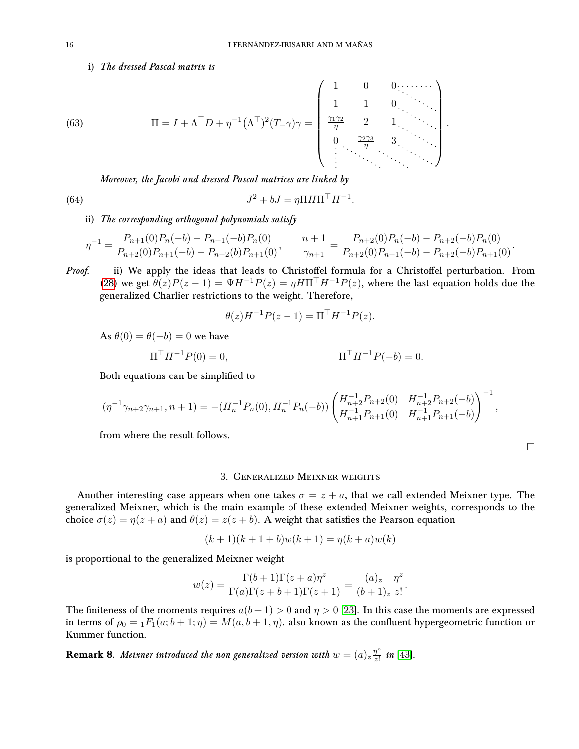## i) The dressed Pascal matrix is

Π = I + Λ>D + η −1 Λ >) 2 (T−γ)γ = 1 0 0 1 1 0 γ1γ<sup>2</sup> η 2 1 0 γ2γ<sup>3</sup> η 3 (63) .

Moreover, the Jacobi and dressed Pascal matrices are linked by

(64) 
$$
J^2 + bJ = \eta \Pi H \Pi^\top H^{-1}.
$$

ii) The corresponding orthogonal polynomials satisfy

$$
\eta^{-1} = \frac{P_{n+1}(0)P_n(-b) - P_{n+1}(-b)P_n(0)}{P_{n+2}(0)P_{n+1}(-b) - P_{n+2}(b)P_{n+1}(0)}, \qquad \frac{n+1}{\gamma_{n+1}} = \frac{P_{n+2}(0)P_n(-b) - P_{n+2}(-b)P_n(0)}{P_{n+2}(0)P_{n+1}(-b) - P_{n+2}(-b)P_{n+1}(0)}.
$$

Proof. ii) We apply the ideas that leads to Christoffel formula for a Christoffel perturbation. From [\(28\)](#page-6-0) we get  $\theta(z)P(z-1) = \Psi H^{-1}P(z) = \eta H \Pi^{T} H^{-1}P(z)$ , where the last equation holds due the generalized Charlier restrictions to the weight. Therefore,

$$
\theta(z)H^{-1}P(z-1) = \Pi^{\top}H^{-1}P(z).
$$

As  $\theta(0) = \theta(-b) = 0$  we have

$$
\Pi^{\top} H^{-1} P(0) = 0, \qquad \Pi^{\top} H^{-1} P(-b) = 0.
$$

Both equations can be simplified to

$$
(\eta^{-1}\gamma_{n+2}\gamma_{n+1}, n+1) = -(H_n^{-1}P_n(0), H_n^{-1}P_n(-b)) \begin{pmatrix} H_{n+2}^{-1}P_{n+2}(0) & H_{n+2}^{-1}P_{n+2}(-b) \\ H_{n+1}^{-1}P_{n+1}(0) & H_{n+1}^{-1}P_{n+1}(-b) \end{pmatrix}^{-1},
$$

from where the result follows.

#### 3. Generalized Meixner weights

<span id="page-15-0"></span>Another interesting case appears when one takes  $\sigma = z + a$ , that we call extended Meixner type. The generalized Meixner, which is the main example of these extended Meixner weights, corresponds to the choice  $\sigma(z) = \eta(z+a)$  and  $\theta(z) = z(z+b)$ . A weight that satisfies the Pearson equation

$$
(k+1)(k+1+b)w(k+1) = \eta(k+a)w(k)
$$

is proportional to the generalized Meixner weight

$$
w(z) = \frac{\Gamma(b+1)\Gamma(z+a)\eta^z}{\Gamma(a)\Gamma(z+b+1)\Gamma(z+1)} = \frac{(a)_z}{(b+1)_z}\frac{\eta^z}{z!}.
$$

The finiteness of the moments requires  $a(b+1) > 0$  and  $\eta > 0$  [\[23\]](#page-26-3). In this case the moments are expressed in terms of  $\rho_0 = {}_1F_1(a; b+1; \eta) = M(a, b+1, \eta)$ . also known as the confluent hypergeometric function or Kummer function.

**Remark 8.** Meixner introduced the non generalized version with  $w = (a)_{z} \frac{\eta^{z}}{z!}$  $\frac{\eta^z}{z!}$  in [\[43\]](#page-27-14).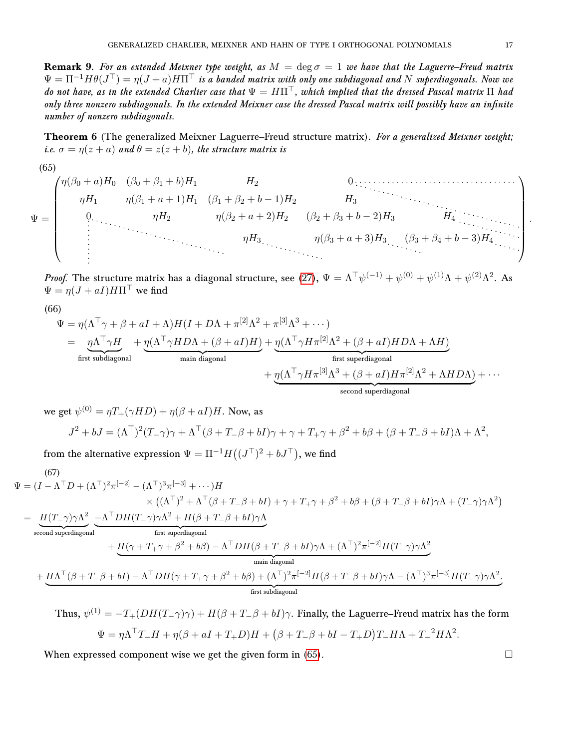**Remark 9.** For an extended Meixner type weight, as  $M = \deg \sigma = 1$  we have that the Laguerre–Freud matrix  $\Psi=\Pi^{-1}H\theta(J^{\top})=\eta(J+a)H\Pi^{\top}$  is a banded matrix with only one subdiagonal and N superdiagonals. Now we do not have, as in the extended Charlier case that  $\Psi = H\Pi^\top$ , which implied that the dressed Pascal matrix  $\Pi$  had only three nonzero subdiagonals. In the extended Meixner case the dressed Pascal matrix will possibly have an infinite number of nonzero subdiagonals.

<span id="page-16-0"></span>Theorem 6 (The generalized Meixner Laguerre–Freud structure matrix). For a generalized Meixner weight; i.e.  $\sigma = \eta(z+a)$  and  $\theta = z(z+b)$ , the structure matrix is

<span id="page-16-1"></span>
$$
(65)
$$

<span id="page-16-2"></span>(66)

$$
\Psi = \begin{pmatrix}\n\eta(\beta_0 + a)H_0 & (\beta_0 + \beta_1 + b)H_1 & H_2 & 0 & \dots & \dots & \dots \\
\eta H_1 & \eta(\beta_1 + a + 1)H_1 & (\beta_1 + \beta_2 + b - 1)H_2 & H_3 & H_4 & \dots & \dots \\
0 & \eta H_2 & \eta(\beta_2 + a + 2)H_2 & (\beta_2 + \beta_3 + b - 2)H_3 & H_4 & \dots & \dots \\
\vdots & \vdots & \vdots & \vdots & \vdots & \vdots & \eta H_3 & (\beta_3 + \beta_4 + b - 3)H_4 & \dots \\
\vdots & \vdots & \vdots & \vdots & \vdots & \vdots & \vdots & \vdots & \vdots\n\end{pmatrix}
$$

*Proof.* The structure matrix has a diagonal structure, see [\(27\)](#page-6-2),  $\Psi = \Lambda^{\top} \psi^{(-1)} + \psi^{(0)} + \psi^{(1)} \Lambda + \psi^{(2)} \Lambda^2$ . As  $\Psi = \eta (J + aI) H \Pi^{\top}$  we find

$$
\Psi = \eta(\Lambda^{\top}\gamma + \beta + aI + \Lambda)H(I + D\Lambda + \pi^{[2]}\Lambda^{2} + \pi^{[3]}\Lambda^{3} + \cdots)
$$
\n
$$
= \eta\Lambda^{\top}\gamma H + \eta(\Lambda^{\top}\gamma H D\Lambda + (\beta + aI)H) + \eta(\Lambda^{\top}\gamma H\pi^{[2]}\Lambda^{2} + (\beta + aI)H D\Lambda + \Lambda H)
$$
\nfirst subdiagonal  
\nfirst subdiagonal  
\n
$$
+ \eta(\Lambda^{\top}\gamma H\pi^{[3]}\Lambda^{3} + (\beta + aI)H\pi^{[2]}\Lambda^{2} + \Lambda H D\Lambda) + \cdots
$$
\nsecond superdiagonal

we get  $\psi^{(0)}=\eta T_+(\gamma HD)+\eta(\beta+aI)H.$  Now, as  $J^2 + bJ = (\Lambda^{\top})^2 (T_{-}\gamma)\gamma + \Lambda^{\top} (\beta + T_{-}\beta + bI)\gamma + \gamma + T_{+}\gamma + \beta^2 + b\beta + (\beta + T_{-}\beta + bI)\Lambda + \Lambda^2,$ 

<span id="page-16-3"></span>from the alternative expression  $\Psi = \Pi^{-1} H((J^{\top})^2 + bJ^{\top})$ , we find

$$
\Psi = (I - \Lambda^{\top} D + (\Lambda^{\top})^{2} \pi^{[-2]} - (\Lambda^{\top})^{3} \pi^{[-3]} + \cdots) H
$$
\n
$$
\times ((\Lambda^{\top})^{2} + \Lambda^{\top} (\beta + T_{-} \beta + bI) + \gamma + T_{+} \gamma + \beta^{2} + b\beta + (\beta + T_{-} \beta + bI)\gamma \Lambda + (T_{-} \gamma)\gamma \Lambda^{2})
$$
\n
$$
= \underbrace{H(T_{-}\gamma)\gamma\Lambda^{2}}_{\text{second superdiagonal}} -\underbrace{\Lambda^{\top} DH(T_{-}\gamma)\gamma\Lambda^{2} + H(\beta + T_{-} \beta + bI)\gamma\Lambda}_{\text{first superdiagonal}}
$$
\n
$$
+ \underbrace{H(\gamma + T_{+}\gamma + \beta^{2} + b\beta) - \Lambda^{\top} DH(\beta + T_{-} \beta + bI)\gamma\Lambda + (\Lambda^{\top})^{2} \pi^{[-2]} H(T_{-}\gamma)\gamma\Lambda^{2}}_{\text{main diagonal}}
$$
\n
$$
+ \underbrace{H\Lambda^{\top}(\beta + T_{-} \beta + bI) - \Lambda^{\top} DH(\gamma + T_{+}\gamma + \beta^{2} + b\beta) + (\Lambda^{\top})^{2} \pi^{[-2]} H(\beta + T_{-} \beta + bI)\gamma\Lambda - (\Lambda^{\top})^{3} \pi^{[-3]} H(T_{-}\gamma)\gamma\Lambda^{2}}_{\text{first subdiagonal}}.
$$

Thus, 
$$
\psi^{(1)} = -T_+(DH(T_-\gamma)\gamma) + H(\beta + T_-\beta + bI)\gamma
$$
. Finally, the Laguerre-Freud matrix has the form  
\n
$$
\Psi = \eta \Lambda^\top T_- H + \eta(\beta + aI + T_+D)H + (\beta + T_-\beta + bI - T_+D)T_-H\Lambda + T_-^2H\Lambda^2.
$$

When expressed component wise we get the given form in  $(65)$ .

.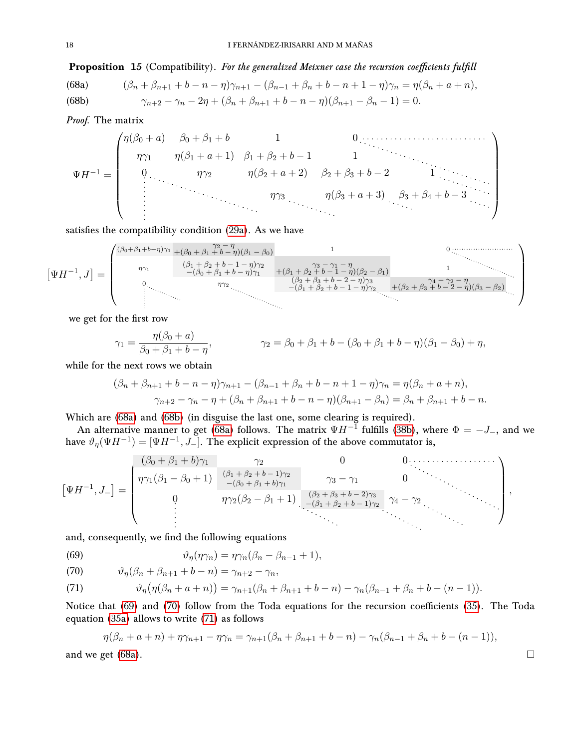## Proposition 15 (Compatibility). For the generalized Meixner case the recursion coefficients fulfill

<span id="page-17-1"></span><span id="page-17-0"></span>(68a) 
$$
(\beta_n + \beta_{n+1} + b - n - \eta)\gamma_{n+1} - (\beta_{n-1} + \beta_n + b - n + 1 - \eta)\gamma_n = \eta(\beta_n + a + n),
$$
  
(68b) 
$$
\gamma_{n+2} - \gamma_n - 2\eta + (\beta_n + \beta_{n+1} + b - n - \eta)(\beta_{n+1} - \beta_n - 1) = 0.
$$

Proof. The matrix

$$
\Psi H^{-1} = \begin{pmatrix} \eta(\beta_0 + a) & \beta_0 + \beta_1 + b & 1 & 0 & \dots & \dots & \dots \\ \eta \gamma_1 & \eta(\beta_1 + a + 1) & \beta_1 + \beta_2 + b - 1 & 1 & \dots & \dots \\ 0 & \eta \gamma_2 & \eta(\beta_2 + a + 2) & \beta_2 + \beta_3 + b - 2 & 1 & \dots \\ \vdots & \vdots & \vdots & \ddots & \vdots & \eta(\beta_3 + a + 3) & \beta_3 + \beta_4 + b - 3 & \dots \\ \vdots & \vdots & \vdots & \ddots & \vdots & \ddots & \vdots \\ \end{pmatrix}
$$

satisfies the compatibility condition [\(29a\)](#page-6-4). As we have

$$
\left[\Psi H^{-1},J\right] = \begin{pmatrix} \frac{(\beta_0+\beta_1+b-\eta)\gamma_1}{\gamma_1} + (\beta_0+\beta_1+b-\eta)(\beta_1-\beta_0) & 1 & 0 \dots & 0 \\ \frac{(\beta_1+\beta_2+b-1-\eta)\gamma_2}{-(\beta_0+\beta_1+b-\eta)\gamma_1} & + (\beta_1+\beta_2+b-1-\eta)(\beta_2-\beta_1) & 1 & \dots & \dots & 0 \\ \frac{(\beta_2+\beta_3+b-2-\eta)\gamma_3}{-(\beta_1+\beta_2+b-1-\eta)\gamma_2} & + (\beta_2+\beta_3+b-2-\eta)(\beta_3-\beta_2) & \dots & 0 \\ \vdots & \vdots & \ddots & \vdots & \ddots & \vdots \\ \frac{(\beta_2+\beta_3+b-2-\eta)\gamma_3}{-(\beta_1+\beta_2+b-1-\eta)\gamma_2} & + (\beta_2+\beta_3+b-2-\eta)(\beta_3-\beta_2) & \dots & 0 \\ \vdots & \vdots & \ddots & \vdots & \ddots & \vdots \\ \frac{(\beta_2+\beta_3+b-2-\eta)\gamma_3}{-(\beta_1+\beta_2+b-1-\eta)\gamma_2} & + (\beta_2+\beta_3+b-2-\eta)(\beta_3-\beta_2) & \dots & 0 \\ \vdots & \ddots & \ddots & \ddots & \vdots \\ \frac{(\beta_2+\beta_3+b-2-\eta)\gamma_3}{-(\beta_1+\beta_2+b-1-\eta)\gamma_2} & + (\beta_2+\beta_3+b-2-\eta)(\beta_3-\beta_2) & \dots & 0 \\ \vdots & \ddots & \ddots & \ddots & \vdots \\ \frac{(\beta_2+\beta_3+b-2-\eta)\gamma_3}{-(\beta_2+\beta_2+b-1-\eta)\gamma_2} & + (\beta_2+\beta_3+b-2-\eta)(\beta_3-\beta_2) & \dots & 0 \\ \vdots & \ddots & \ddots & \ddots & \vdots \\ \frac{(\beta_2+\beta_3+b-2-\eta)\gamma_3}{-(\beta_2+\beta_2+b-1-\eta)\gamma_2} & + (\beta_2+\beta_3+b-2-\eta)(\beta_3-\beta_2) & \dots & 0 \\ \vdots & \ddots & \ddots & \ddots & \vdots \\ \frac{(\beta_2+\beta_3+b-2-\eta)\gamma_3}{-(\beta_2+\beta_2+b-1-\eta)\gamma_2} & + (\beta_2+\
$$

we get for the first row

$$
\gamma_1 = \frac{\eta(\beta_0 + a)}{\beta_0 + \beta_1 + b - \eta}, \qquad \gamma_2 = \beta_0 + \beta_1 + b - (\beta_0 + \beta_1 + b - \eta)(\beta_1 - \beta_0) + \eta,
$$

while for the next rows we obtain

$$
(\beta_n + \beta_{n+1} + b - n - \eta)\gamma_{n+1} - (\beta_{n-1} + \beta_n + b - n + 1 - \eta)\gamma_n = \eta(\beta_n + a + n),
$$
  

$$
\gamma_{n+2} - \gamma_n - \eta + (\beta_n + \beta_{n+1} + b - n - \eta)(\beta_{n+1} - \beta_n) = \beta_n + \beta_{n+1} + b - n.
$$

Which are [\(68a\)](#page-17-0) and [\(68b\)](#page-17-1) (in disguise the last one, some clearing is required).

An alternative manner to get [\(68a\)](#page-17-0) follows. The matrix  $\Psi H^{-1}$  fulfills [\(38b\)](#page-7-3), where  $\Phi = -J_{-}$ , and we have  $\vartheta_\eta(\Psi H^{-1}) = [\Psi H^{-1},J_-].$  The explicit expression of the above commutator is,

-ΨH−<sup>1</sup> , J<sup>−</sup> = (β<sup>0</sup> + β<sup>1</sup> + b)γ<sup>1</sup> γ<sup>2</sup> 0 0 ηγ1(β<sup>1</sup> − β<sup>0</sup> + 1) (β<sup>1</sup> <sup>+</sup> <sup>β</sup><sup>2</sup> <sup>+</sup> <sup>b</sup> <sup>−</sup> 1)γ<sup>2</sup> −(β<sup>0</sup> + β<sup>1</sup> + b)γ<sup>1</sup> γ<sup>3</sup> − γ<sup>1</sup> 0 0 ηγ2(β<sup>2</sup> − β<sup>1</sup> + 1) (β<sup>2</sup> <sup>+</sup> <sup>β</sup><sup>3</sup> <sup>+</sup> <sup>b</sup> <sup>−</sup> 2)γ<sup>3</sup> −(β<sup>1</sup> + β<sup>2</sup> + b − 1)γ<sup>2</sup> γ<sup>4</sup> − γ<sup>2</sup> ,

and, consequently, we find the following equations

<span id="page-17-2"></span>(69) 
$$
\vartheta_{\eta}(\eta\gamma_n) = \eta\gamma_n(\beta_n - \beta_{n-1} + 1),
$$

<span id="page-17-3"></span>(70) 
$$
\vartheta_{\eta}(\beta_n + \beta_{n+1} + b - n) = \gamma_{n+2} - \gamma_n,
$$

<span id="page-17-4"></span>(71) 
$$
\vartheta_{\eta}(\eta(\beta_n + a + n)) = \gamma_{n+1}(\beta_n + \beta_{n+1} + b - n) - \gamma_n(\beta_{n-1} + \beta_n + b - (n-1)).
$$

Notice that  $(69)$  and  $(70)$  follow from the Toda equations for the recursion coefficients  $(35)$ . The Toda equation [\(35a\)](#page-7-6) allows to write [\(71\)](#page-17-4) as follows

$$
\eta(\beta_n + a + n) + \eta \gamma_{n+1} - \eta \gamma_n = \gamma_{n+1}(\beta_n + \beta_{n+1} + b - n) - \gamma_n(\beta_{n-1} + \beta_n + b - (n-1)),
$$

and we get [\(68a\)](#page-17-0).

$$
\qquad \qquad \Box
$$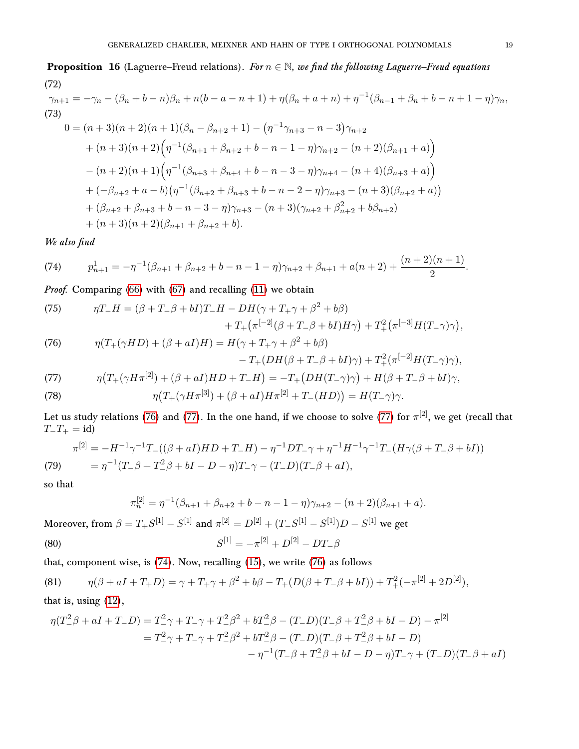# <span id="page-18-3"></span>**Proposition 16** (Laguerre–Freud relations). For  $n \in \mathbb{N}$ , we find the following Laguerre–Freud equations (72)

<span id="page-18-8"></span>
$$
\gamma_{n+1} = -\gamma_n - (\beta_n + b - n)\beta_n + n(b - a - n + 1) + \eta(\beta_n + a + n) + \eta^{-1}(\beta_{n-1} + \beta_n + b - n + 1 - \eta)\gamma_n,
$$
  
(73)  

$$
0 = (n+3)(n+2)(n+1)(\beta_n - \beta_{n+2} + 1) - (\eta^{-1}\gamma_{n+3} - n - 3)\gamma_{n+2} + (n+3)(n+2)\left(\eta^{-1}(\beta_{n+1} + \beta_{n+2} + b - n - 1 - \eta)\gamma_{n+2} - (n+2)(\beta_{n+1} + a)\right) - (n+2)(n+1)\left(\eta^{-1}(\beta_{n+3} + \beta_{n+4} + b - n - 3 - \eta)\gamma_{n+4} - (n+4)(\beta_{n+3} + a)\right) + (-\beta_{n+2} + a - b)\left(\eta^{-1}(\beta_{n+2} + \beta_{n+3} + b - n - 2 - \eta)\gamma_{n+3} - (n+3)(\beta_{n+2} + a)\right) + (\beta_{n+2} + \beta_{n+3} + b - n - 3 - \eta)\gamma_{n+3} - (n+3)(\gamma_{n+2} + \beta_{n+2} + b\beta_{n+2}) + (n+3)(n+2)(\beta_{n+1} + \beta_{n+2} + b).
$$

We also find

<span id="page-18-2"></span>(74) 
$$
p_{n+1}^1 = -\eta^{-1}(\beta_{n+1} + \beta_{n+2} + b - n - 1 - \eta)\gamma_{n+2} + \beta_{n+1} + a(n+2) + \frac{(n+2)(n+1)}{2}.
$$

Proof. Comparing [\(66\)](#page-16-2) with [\(67\)](#page-16-3) and recalling [\(11\)](#page-4-1) we obtain

<span id="page-18-7"></span>(75) 
$$
\eta T_{-}H = (\beta + T_{-}\beta + bI)T_{-}H - DH(\gamma + T_{+}\gamma + \beta^{2} + b\beta) + T_{+}(\pi^{[-2]}(\beta + T_{-}\beta + bI)H\gamma) + T_{+}^{2}(\pi^{[-3]}H(T_{-}\gamma)\gamma),
$$

<span id="page-18-0"></span>(76) 
$$
\eta(T_{+}(\gamma HD)+(\beta+aI)H)=H(\gamma+T_{+}\gamma+\beta^{2}+b\beta)\\-T_{+}(DH(\beta+T_{-}\beta+bI)\gamma)+T_{+}^{2}(\pi^{[-2]}H(T_{-}\gamma)\gamma),
$$

<span id="page-18-4"></span><span id="page-18-1"></span>(77) 
$$
\eta\big(T_{+}(\gamma H\pi^{[2]}) + (\beta + aI)HD + T_{-}H\big) = -T_{+}\big(DH(T_{-}\gamma)\gamma\big) + H(\beta + T_{-}\beta + bI)\gamma,
$$
  
(78) 
$$
\eta\big(T_{+}(\gamma H\pi^{[3]}) + (\beta + aI)H\pi^{[2]} + T_{-}(HD)\big) = H(T_{-}\gamma)\gamma.
$$

Let us study relations [\(76\)](#page-18-0) and [\(77\)](#page-18-1). In the one hand, if we choose to solve (77) for  $\pi^{[2]}$ , we get (recall that

<span id="page-18-5"></span>(79) 
$$
\pi^{[2]} = -H^{-1}\gamma^{-1}T_{-}((\beta + aI)HD + T_{-}H) - \eta^{-1}DT_{-}\gamma + \eta^{-1}H^{-1}\gamma^{-1}T_{-}(H\gamma(\beta + T_{-}\beta + bI))
$$

$$
= \eta^{-1}(T_{-}\beta + T_{-}^{2}\beta + bI - D - \eta)T_{-}\gamma - (T_{-}D)(T_{-}\beta + aI),
$$

so that

 $T_-\,T_+$  = id)

$$
\pi_n^{[2]} = \eta^{-1}(\beta_{n+1} + \beta_{n+2} + b - n - 1 - \eta)\gamma_{n+2} - (n+2)(\beta_{n+1} + a).
$$

Moreover, from  $\beta = T_+ S^{[1]} - S^{[1]}$  and  $\pi^{[2]} = D^{[2]} + (T_- S^{[1]} - S^{[1]})D - S^{[1]}$  we get

<span id="page-18-6"></span>(80) 
$$
S^{[1]} = -\pi^{[2]} + D^{[2]} - DT_{-}\beta
$$

that, component wise, is  $(74)$ . Now, recalling  $(15)$ , we write  $(76)$  as follows

(81) 
$$
\eta(\beta + aI + T_+D) = \gamma + T_+\gamma + \beta^2 + b\beta - T_+(D(\beta + T_-\beta + bI)) + T_+^2(-\pi^{[2]} + 2D^{[2]}),
$$

## that is, using [\(12\)](#page-4-2),

$$
\eta(T_{-}^{2}\beta + aI + T_{-}D) = T_{-}^{2}\gamma + T_{-}\gamma + T_{-}^{2}\beta^{2} + bT_{-}^{2}\beta - (T_{-}D)(T_{-}\beta + T_{-}^{2}\beta + bI - D) - \pi^{[2]}
$$
  
=  $T_{-}^{2}\gamma + T_{-}\gamma + T_{-}^{2}\beta^{2} + bT_{-}^{2}\beta - (T_{-}D)(T_{-}\beta + T_{-}^{2}\beta + bI - D)$   
 $- \eta^{-1}(T_{-}\beta + T_{-}^{2}\beta + bI - D - \eta)T_{-}\gamma + (T_{-}D)(T_{-}\beta + aI)$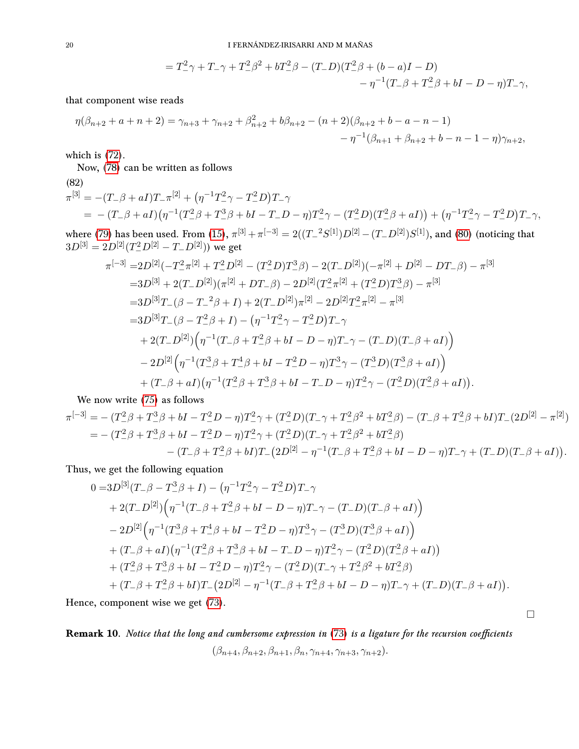$$
= T_{-}^{2}\gamma + T_{-}\gamma + T_{-}^{2}\beta^{2} + bT_{-}^{2}\beta - (T_{-}D)(T_{-}^{2}\beta + (b-a)I - D) - \eta^{-1}(T_{-}\beta + T_{-}^{2}\beta + bI - D - \eta)T_{-}\gamma,
$$

that component wise reads

$$
\eta(\beta_{n+2} + a + n + 2) = \gamma_{n+3} + \gamma_{n+2} + \beta_{n+2}^2 + b\beta_{n+2} - (n+2)(\beta_{n+2} + b - a - n - 1) - \eta^{-1}(\beta_{n+1} + \beta_{n+2} + b - n - 1 - \eta)\gamma_{n+2},
$$

which is [\(72\)](#page-18-3).

Now, [\(78\)](#page-18-4) can be written as follows

(82)  
\n
$$
\pi^{[3]} = -(T_{-}\beta + aI)T_{-}\pi^{[2]} + (\eta^{-1}T_{-}^{2}\gamma - T_{-}^{2}D)T_{-}\gamma
$$
\n
$$
= -(T_{-}\beta + aI)(\eta^{-1}(T_{-}^{2}\beta + T_{-}^{3}\beta + bI - T_{-}D - \eta)T_{-}^{2}\gamma - (T_{-}^{2}D)(T_{-}^{2}\beta + aI)) + (\eta^{-1}T_{-}^{2}\gamma - T_{-}^{2}D)T_{-}\gamma,
$$
\nwhere (70) has been used. From (15)  $\pi^{[3]} + \pi^{[-3]}$  2((T\_{-}^{2}C^{[1]})D^{[2]} - (T\_{-}D^{[2]})C^{[1]}) and (90) (neq)

where [\(79\)](#page-18-5) has been used. From [\(15\)](#page-5-5),  $\pi^{[3]}+\pi^{[-3]}=2((T\_^2S^{[1]})D^{[2]}-(T\_D^{[2]})S^{[1]}),$  and [\(80\)](#page-18-6) (noticing that  $3D^{[3]} = 2D^{[2]} (T_-^2 D^{[2]} - T_- D^{[2]}))$  we get

$$
\pi^{[-3]} = 2D^{[2]}(-T_{-\pi}^{2}\pi^{[2]} + T_{-\pi}^{2}D^{[2]} - (T_{-\pi}^{2}D)T_{-\pi}^{3}\beta) - 2(T_{-\pi}D^{[2]})(-\pi^{[2]} + D^{[2]} - DT_{-\beta}) - \pi^{[3]}
$$
  
\n
$$
=3D^{[3]} + 2(T_{-\pi}D^{[2]})(\pi^{[2]} + DT_{-\beta}) - 2D^{[2]}(T_{-\pi}^{2}\pi^{[2]} + (T_{-\pi}^{2}D)T_{-\pi}^{3}\beta) - \pi^{[3]}
$$
  
\n
$$
=3D^{[3]}T_{-}(\beta - T_{-\pi}^{2}\beta + I) + 2(T_{-\pi}D^{[2]})\pi^{[2]} - 2D^{[2]}T_{-\pi}^{2}\pi^{[2]} - \pi^{[3]}
$$
  
\n
$$
=3D^{[3]}T_{-}(\beta - T_{-\pi}^{2}\beta + I) - (\eta^{-1}T_{-\pi}^{2}\gamma - T_{-\pi}^{2}D)T_{-\gamma}
$$
  
\n
$$
+ 2(T_{-\pi}D^{[2]})(\eta^{-1}(T_{-\beta} + T_{-\beta}^{2}\beta + bI - D - \eta)T_{-\gamma} - (T_{-\pi}D)(T_{-\beta} + aI))
$$
  
\n
$$
- 2D^{[2]}(\eta^{-1}(T_{-\beta}^{3} + T_{-\beta}^{4}\beta + bI - T_{-\pi}^{2}D - \eta)T_{-\gamma}^{3} - (T_{-\pi}^{3}D)(T_{-\beta}^{3}\beta + aI))
$$
  
\n
$$
+ (T_{-\beta} + aI)(\eta^{-1}(T_{-\beta}^{2} + T_{-\beta}^{3}\beta + bI - T_{-\pi}D - \eta)T_{-\gamma}^{2} - (T_{-\pi}^{2}D)(T_{-\beta}^{2}\beta + aI)).
$$

We now write [\(75\)](#page-18-7) as follows

$$
\pi^{[-3]} = -(T_{-}^{2}\beta + T_{-}^{3}\beta + bI - T_{-}^{2}D - \eta)T_{-}^{2}\gamma + (T_{-}^{2}D)(T_{-}\gamma + T_{-}^{2}\beta^{2} + bT_{-}^{2}\beta) - (T_{-}\beta + T_{-}^{2}\beta + bI)T_{-}(2D^{[2]} - \pi^{[2]})
$$
  
= 
$$
-(T_{-}^{2}\beta + T_{-}^{3}\beta + bI - T_{-}^{2}D - \eta)T_{-}^{2}\gamma + (T_{-}^{2}D)(T_{-}\gamma + T_{-}^{2}\beta^{2} + bT_{-}^{2}\beta)
$$

$$
-(T_{-}\beta + T_{-}^{2}\beta + bI)T_{-}(2D^{[2]} - \eta^{-1}(T_{-}\beta + T_{-}^{2}\beta + bI - D - \eta)T_{-}\gamma + (T_{-}D)(T_{-}\beta + aI)).
$$

Thus, we get the following equation

$$
0 = 3D^{[3]}(T_{-}\beta - T_{-}^{3}\beta + I) - (\eta^{-1}T_{-}^{2}\gamma - T_{-}^{2}D)T_{-}\gamma
$$
  
+ 2(T\_{-}D^{[2]}) (\eta^{-1}(T\_{-}\beta + T\_{-}^{2}\beta + bI - D - \eta)T\_{-}\gamma - (T\_{-}D)(T\_{-}\beta + aI))  
- 2D^{[2]} (\eta^{-1}(T\_{-}^{3}\beta + T\_{-}^{4}\beta + bI - T\_{-}^{2}D - \eta)T\_{-}^{3}\gamma - (T\_{-}^{3}D)(T\_{-}^{3}\beta + aI))  
+ (T\_{-}\beta + aI)(\eta^{-1}(T\_{-}^{2}\beta + T\_{-}^{3}\beta + bI - T\_{-}D - \eta)T\_{-}^{2}\gamma - (T\_{-}^{2}D)(T\_{-}^{2}\beta + aI))  
+ (T\_{-}^{2}\beta + T\_{-}^{3}\beta + bI - T\_{-}^{2}D - \eta)T\_{-}^{2}\gamma - (T\_{-}^{2}D)(T\_{-}\gamma + T\_{-}^{2}\beta^{2} + bT\_{-}^{2}\beta)  
+ (T\_{-}\beta + T\_{-}^{2}\beta + bI)T\_{-}(2D^{[2]} - \eta^{-1}(T\_{-}\beta + T\_{-}^{2}\beta + bI - D - \eta)T\_{-}\gamma + (T\_{-}D)(T\_{-}\beta + aI)).

Hence, component wise we get [\(73\)](#page-18-8).

Remark 10. Notice that the long and cumbersome expression in [\(73\)](#page-18-8) is a ligature for the recursion coefficients  $(\beta_{n+4}, \beta_{n+2}, \beta_{n+1}, \beta_{n}, \gamma_{n+4}, \gamma_{n+3}, \gamma_{n+2}).$ 

 $\Box$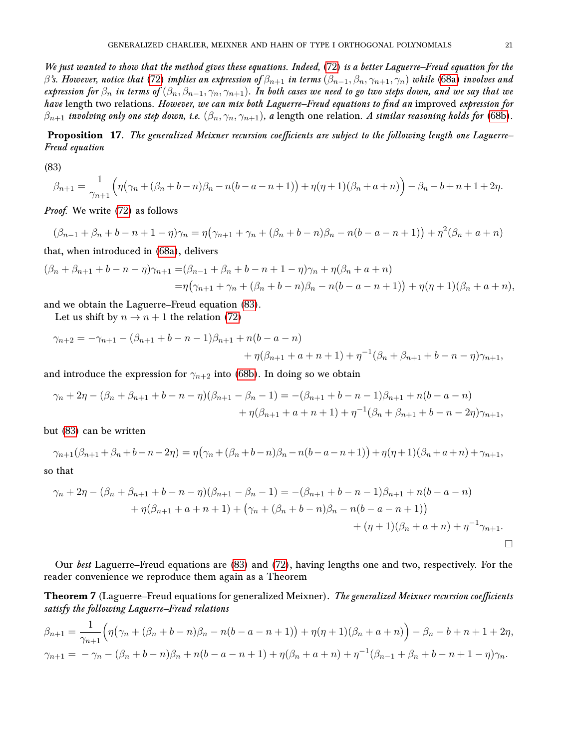We just wanted to show that the method gives these equations. Indeed, [\(72\)](#page-18-3) is a better Laguerre–Freud equation for the  $\beta$ 's. However, notice that [\(72\)](#page-18-3) implies an expression of  $\beta_{n+1}$  in terms  $(\beta_{n-1}, \beta_n, \gamma_{n+1}, \gamma_n)$  while [\(68a\)](#page-17-0) involves and expression for  $\beta_n$  in terms of  $(\beta_n, \beta_{n-1}, \gamma_n, \gamma_{n+1})$ . In both cases we need to go two steps down, and we say that we have length two relations. However, we can mix both Laguerre–Freud equations to find an improved expression for  $\beta_{n+1}$  involving only one step down, i.e.  $(\beta_n, \gamma_n, \gamma_{n+1})$ , a length one relation. A similar reasoning holds for [\(68b\)](#page-17-1).

Proposition 17. The generalized Meixner recursion coefficients are subject to the following length one Laguerre– Freud equation

<span id="page-20-1"></span>(83)

$$
\beta_{n+1} = \frac{1}{\gamma_{n+1}} \Big( \eta \big( \gamma_n + (\beta_n + b - n) \beta_n - n(b - a - n + 1) \big) + \eta(\eta + 1) (\beta_n + a + n) \Big) - \beta_n - b + n + 1 + 2\eta.
$$

Proof. We write [\(72\)](#page-18-3) as follows

 $(\beta_{n-1} + \beta_n + b - n + 1 - \eta)\gamma_n = \eta(\gamma_{n+1} + \gamma_n + (\beta_n + b - n)\beta_n - n(b - a - n + 1)) + \eta^2(\beta_n + a + n)$ 

that, when introduced in [\(68a\)](#page-17-0), delivers

$$
(\beta_n + \beta_{n+1} + b - n - \eta)\gamma_{n+1} = (\beta_{n-1} + \beta_n + b - n + 1 - \eta)\gamma_n + \eta(\beta_n + a + n)
$$
  
=  $\eta(\gamma_{n+1} + \gamma_n + (\beta_n + b - n)\beta_n - n(b - a - n + 1)) + \eta(\eta + 1)(\beta_n + a + n),$ 

and we obtain the Laguerre–Freud equation [\(83\)](#page-20-1).

Let us shift by  $n \to n+1$  the relation [\(72\)](#page-18-3)

$$
\gamma_{n+2} = -\gamma_{n+1} - (\beta_{n+1} + b - n - 1)\beta_{n+1} + n(b - a - n)
$$
  
+  $\eta(\beta_{n+1} + a + n + 1) + \eta^{-1}(\beta_n + \beta_{n+1} + b - n - \eta)\gamma_{n+1},$ 

and introduce the expression for  $\gamma_{n+2}$  into [\(68b\)](#page-17-1). In doing so we obtain

$$
\gamma_n + 2\eta - (\beta_n + \beta_{n+1} + b - n - \eta)(\beta_{n+1} - \beta_n - 1) = -(\beta_{n+1} + b - n - 1)\beta_{n+1} + n(b - a - n)
$$
  
+  $\eta(\beta_{n+1} + a + n + 1) + \eta^{-1}(\beta_n + \beta_{n+1} + b - n - 2\eta)\gamma_{n+1},$ 

but [\(83\)](#page-20-1) can be written

$$
\gamma_{n+1}(\beta_{n+1} + \beta_n + b - n - 2\eta) = \eta(\gamma_n + (\beta_n + b - n)\beta_n - n(b - a - n + 1)) + \eta(\eta + 1)(\beta_n + a + n) + \gamma_{n+1},
$$

so that

$$
\gamma_n + 2\eta - (\beta_n + \beta_{n+1} + b - n - \eta)(\beta_{n+1} - \beta_n - 1) = -(\beta_{n+1} + b - n - 1)\beta_{n+1} + n(b - a - n)
$$
  
+  $\eta(\beta_{n+1} + a + n + 1) + (\gamma_n + (\beta_n + b - n)\beta_n - n(b - a - n + 1))$   
+  $(\eta + 1)(\beta_n + a + n) + \eta^{-1}\gamma_{n+1}$ .

Our best Laguerre–Freud equations are [\(83\)](#page-20-1) and [\(72\)](#page-18-3), having lengths one and two, respectively. For the reader convenience we reproduce them again as a Theorem

<span id="page-20-0"></span>**Theorem 7** (Laguerre–Freud equations for generalized Meixner). The generalized Meixner recursion coefficients satisfy the following Laguerre–Freud relations

$$
\beta_{n+1} = \frac{1}{\gamma_{n+1}} \Big( \eta \big( \gamma_n + (\beta_n + b - n) \beta_n - n(b - a - n + 1) \big) + \eta (\eta + 1) (\beta_n + a + n) \Big) - \beta_n - b + n + 1 + 2\eta,
$$
  

$$
\gamma_{n+1} = -\gamma_n - (\beta_n + b - n) \beta_n + n(b - a - n + 1) + \eta (\beta_n + a + n) + \eta^{-1} (\beta_{n-1} + \beta_n + b - n + 1 - \eta) \gamma_n.
$$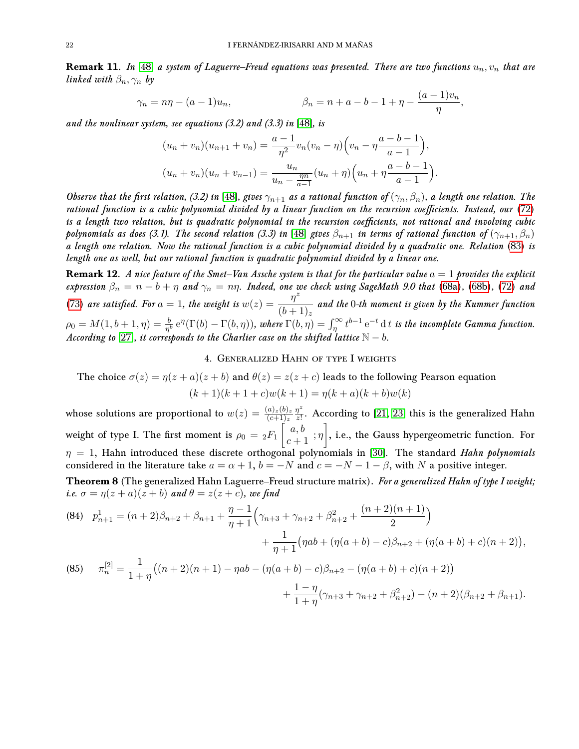**Remark 11.** In [\[48\]](#page-27-3) a system of Laguerre–Freud equations was presented. There are two functions  $u_n, v_n$  that are linked with  $\beta_n, \gamma_n$  by

$$
\gamma_n = n\eta - (a-1)u_n,
$$
\n $\beta_n = n + a - b - 1 + \eta - \frac{(a-1)v_n}{\eta},$ 

and the nonlinear system, see equations  $(3.2)$  and  $(3.3)$  in [\[48\]](#page-27-3), is

$$
(u_n + v_n)(u_{n+1} + v_n) = \frac{a-1}{\eta^2} v_n (v_n - \eta) \left( v_n - \eta \frac{a-b-1}{a-1} \right),
$$
  

$$
(u_n + v_n)(u_n + v_{n-1}) = \frac{u_n}{u_n - \frac{\eta^m}{a-1}} (u_n + \eta) \left( u_n + \eta \frac{a-b-1}{a-1} \right).
$$

Observe that the first relation, (3.2) in [\[48\]](#page-27-3), gives  $\gamma_{n+1}$  as a rational function of  $(\gamma_n, \beta_n)$ , a length one relation. The rational function is a cubic polynomial divided by a linear function on the recursion coefficients. Instead, our [\(72\)](#page-18-3) is a length two relation, but is quadratic polynomial in the recursion coefficients, not rational and involving cubic polynomials as does (3.1). The second relation (3.3) in [\[48\]](#page-27-3) gives  $\beta_{n+1}$  in terms of rational function of  $(\gamma_{n+1}, \beta_n)$ a length one relation. Now the rational function is a cubic polynomial divided by a quadratic one. Relation [\(83\)](#page-20-1) is length one as well, but our rational function is quadratic polynomial divided by a linear one.

**Remark 12.** A nice feature of the Smet–Van Assche system is that for the particular value  $a = 1$  provides the explicit expression  $\beta_n = n - b + \eta$  and  $\gamma_n = n\eta$ . Indeed, one we check using SageMath 9.0 that [\(68a\)](#page-17-0), [\(68b\)](#page-17-1), [\(72\)](#page-18-3) and [\(73\)](#page-18-8) are satisfied. For  $a = 1$ , the weight is  $w(z) = \frac{\eta^2}{(1+z)^2}$  $\frac{d}{b^2+1}\frac{d}{dx}$  and the 0-th moment is given by the Kummer function  $\rho_0=M(1,b+1,\eta)=\frac{b}{\eta^b}\,\mathrm{e}^\eta(\Gamma(b)-\Gamma(b,\eta)),$  where  $\Gamma(b,\eta)=\int_{\eta}^{\infty}t^{b-1}\,\mathrm{e}^{-t}\,\mathrm{d}\,t$  is the incomplete Gamma function. According to [\[27\]](#page-26-9), it corresponds to the Charlier case on the shifted lattice  $\mathbb{N} - b$ .

## 4. Generalized Hahn of type I weights

<span id="page-21-0"></span>The choice  $\sigma(z) = \eta(z+a)(z+b)$  and  $\theta(z) = z(z+c)$  leads to the following Pearson equation  $(k+1)(k+1+c)w(k+1) = \eta(k+a)(k+b)w(k)$ 

whose solutions are proportional to  $w(z) = \frac{(a)_z(b)_z}{(c+1)_z}$  $\eta^z$  $\frac{\eta^z}{z!}$ . According to [\[21,](#page-26-5) [23\]](#page-26-3) this is the generalized Hahn weight of type I. The first moment is  $\rho_0 = {}_2F_1\left[ \begin{smallmatrix} a,b \ c+1 \end{smallmatrix} \right],$  i.e., the Gauss hypergeometric function. For  $\eta = 1$ , Hahn introduced these discrete orthogonal polynomials in [\[30\]](#page-26-16). The standard Hahn polynomials considered in the literature take  $a = \alpha + 1$ ,  $b = -N$  and  $c = -N - 1 - \beta$ , with N a positive integer. Theorem 8 (The generalized Hahn Laguerre–Freud structure matrix). For a generalized Hahn of type I weight; *i.e.*  $\sigma = \eta(z+a)(z+b)$  and  $\theta = z(z+c)$ , we find

<span id="page-21-1"></span>(84) 
$$
p_{n+1}^1 = (n+2)\beta_{n+2} + \beta_{n+1} + \frac{\eta - 1}{\eta + 1} \left( \gamma_{n+3} + \gamma_{n+2} + \beta_{n+2}^2 + \frac{(n+2)(n+1)}{2} \right) + \frac{1}{\eta + 1} \left( \eta ab + (\eta(a+b) - c)\beta_{n+2} + (\eta(a+b) + c)(n+2) \right),
$$
  
(85) 
$$
\pi_n^{[2]} = \frac{1}{1+n} \left( (n+2)(n+1) - \eta ab - (\eta(a+b) - c)\beta_{n+2} - (\eta(a+b) + c)(n+2) \right)
$$

$$
n = 1 + \eta^{((n+2)(n+1) - 1)\alpha} - \eta \alpha^{(n+1)} - \eta \alpha^{(n+2)} - \eta \alpha^{(n+1)} - \eta \alpha^{(n+2)} - \eta \alpha^{(n+2)} - \eta \alpha^{(n+2)} - \eta \alpha^{(n+1)} - \eta \alpha^{(n+1)} - \eta \alpha^{(n+1)} - \eta \alpha^{(n+1)} - \eta \alpha^{(n+1)} - \eta \alpha^{(n+1)} - \eta \alpha^{(n+1)} - \eta \alpha^{(n+1)} - \eta \alpha^{(n+1)} - \eta \alpha^{(n+1)} - \eta \alpha^{(n+1)} - \eta \alpha^{(n+1)} - \eta \alpha^{(n+1)} - \eta \alpha^{(n+1)} - \eta \alpha^{(n+1)} - \eta \alpha^{(n+1)} - \eta \alpha^{(n+1)} - \eta \alpha^{(n+1)} - \eta \alpha^{(n+1)} - \eta \alpha^{(n+1)} - \eta \alpha^{(n+1)} - \eta \alpha^{(n+1)} - \eta \alpha^{(n+1)} - \eta \alpha^{(n+1)} - \eta \alpha^{(n+1)} - \eta \alpha^{(n+1)} - \eta \alpha^{(n+1)} - \eta \alpha^{(n+1)} - \eta \alpha^{(n+1)} - \eta \alpha^{(n+1)} - \eta \alpha^{(n+1)} - \eta \alpha^{(n+1)} - \eta \alpha^{(n+1)} - \eta \alpha^{(n+1)} - \eta \alpha^{(n+1)} - \eta \alpha^{(n+1)} - \eta \alpha^{(n+1)} - \eta \alpha^{(n+1)} - \eta \alpha^{(n+1)} - \eta \alpha^{(n+1)} - \eta \alpha^{(n+1)} - \eta \alpha^{(n+1)} - \eta \alpha^{(n+1)} - \eta \alpha^{(n+1)} - \eta \alpha^{(n+1)} - \eta \alpha^{(n+1)} - \eta \alpha^{(n+1)} - \eta \alpha^{(n+1)} - \eta \alpha^{(n+1)} - \eta \alpha^{(n+1)} - \eta \alpha^{(n+1)} - \eta \alpha^{(n+1)} - \eta \alpha^{(n+1)} - \eta \alpha^{(n+1)} - \eta \alpha^{(n+1)} - \eta \alpha^{(n+1)} - \eta \alpha^{(n+1)} - \eta \alpha^{(n+1)} - \eta \alpha^{(n+1)} - \eta \alpha^{(n+1)} - \eta \alpha^{(n+1
$$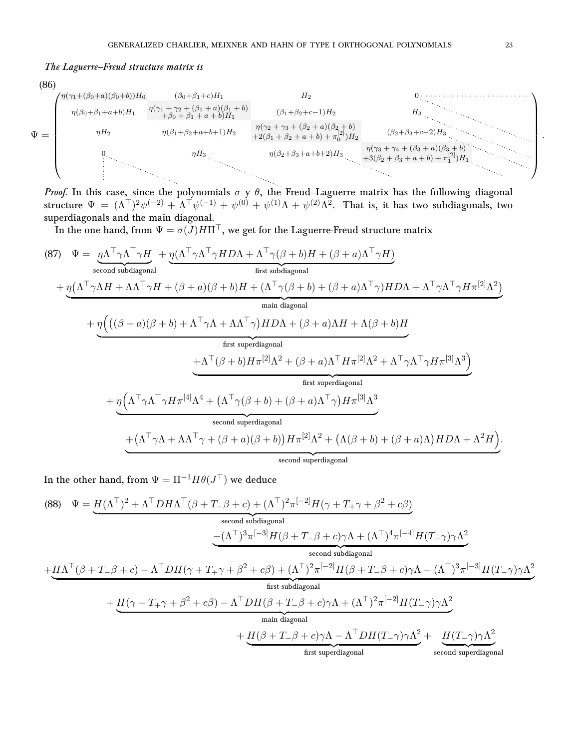## The Laguerre–Freud structure matrix is



structure  $\Psi = (\Lambda^{\top})^2 \psi^{(-2)} + \Lambda^{\top} \psi^{(-1)} + \psi^{(0)} + \psi^{(1)} \Lambda + \psi^{(2)} \Lambda^2$ . That is, it has two subdiagonals, two superdiagonals and the main diagonal.

In the one hand, from  $\Psi = \sigma(J)H\Pi^T$ , we get for the Laguerre-Freud structure matrix

<span id="page-22-0"></span>(87) 
$$
\Psi = \underbrace{\eta \Lambda^{\top} \gamma \Lambda^{\top} \gamma H}_{\text{second subdiagonal}} + \underbrace{\eta (\Lambda^{\top} \gamma \Lambda^{\top} \gamma H + (\beta + a)(\beta + b)H + (\Lambda^{\top} \gamma (\beta + b)H + (\beta + a)\Lambda^{\top} \gamma H)}_{\text{first subdiagonal}} + \underbrace{\eta (\Lambda^{\top} \gamma \Lambda H + \Lambda \Lambda^{\top} \gamma H + (\beta + a)(\beta + b)H + (\Lambda^{\top} \gamma (\beta + b) + (\beta + a)\Lambda^{\top} \gamma)H D \Lambda + \Lambda^{\top} \gamma \Lambda^{\top} \gamma H \pi^{[2]} \Lambda^{2})}_{\text{main diagonal}} + \underbrace{\eta (((\beta + a)(\beta + b) + \Lambda^{\top} \gamma \Lambda + \Lambda \Lambda^{\top} \gamma)H D \Lambda + (\beta + a)\Lambda H + \Lambda (\beta + b)H}_{\text{first superdiagonal}} + \underbrace{\Lambda^{\top} (\beta + b)H \pi^{[2]} \Lambda^{2} + (\beta + a)\Lambda^{\top} H \pi^{[2]} \Lambda^{2} + \Lambda^{\top} \gamma \Lambda^{\top} \gamma H \pi^{[3]} \Lambda^{3})}_{\text{first superdiagonal}} + \underbrace{\eta (\Lambda^{\top} \gamma \Lambda^{\top} \gamma H \pi^{[4]} \Lambda^{4} + (\Lambda^{\top} \gamma (\beta + b) + (\beta + a)\Lambda^{\top} \gamma)H \pi^{[3]} \Lambda^{3}}_{\text{second superdiagonal}} + (\Lambda^{\top} \gamma \Lambda + \Lambda \Lambda^{\top} \gamma + (\beta + a)(\beta + b))H \pi^{[2]} \Lambda^{2} + (\Lambda (\beta + b) + (\beta + a)\Lambda)H D \Lambda + \Lambda^{2}H}_{\text{second superdiagonal}}).
$$

In the other hand, from  $\Psi = \Pi^{-1} H \theta(J^{\top})$  we deduce

<span id="page-22-1"></span>(88) 
$$
\Psi = \underbrace{H(\Lambda^{\top})^{2} + \Lambda^{\top} D H \Lambda^{\top} (\beta + T_{-} \beta + c) + (\Lambda^{\top})^{2} \pi^{[-2]} H (\gamma + T_{+} \gamma + \beta^{2} + c \beta)}_{\text{second subdiagonal}}
$$
\n
$$
- (\Lambda^{\top})^{3} \pi^{[-3]} H (\beta + T_{-} \beta + c) \gamma \Lambda + (\Lambda^{\top})^{4} \pi^{[-4]} H (T_{-} \gamma) \gamma \Lambda^{2}}_{\text{second subdiagonal}}
$$
\n
$$
+ \underbrace{H \Lambda^{\top} (\beta + T_{-} \beta + c) - \Lambda^{\top} D H (\gamma + T_{+} \gamma + \beta^{2} + c \beta) + (\Lambda^{\top})^{2} \pi^{[-2]} H (\beta + T_{-} \beta + c) \gamma \Lambda - (\Lambda^{\top})^{3} \pi^{[-3]} H (T_{-} \gamma) \gamma \Lambda^{2}}_{\text{first subdiagonal}}
$$
\n
$$
+ \underbrace{H (\gamma + T_{+} \gamma + \beta^{2} + c \beta) - \Lambda^{\top} D H (\beta + T_{-} \beta + c) \gamma \Lambda + (\Lambda^{\top})^{2} \pi^{[-2]} H (T_{-} \gamma) \gamma \Lambda^{2}}_{\text{main diagonal}}
$$
\n
$$
+ \underbrace{H (\beta + T_{-} \beta + c) \gamma \Lambda - \Lambda^{\top} D H (T_{-} \gamma) \gamma \Lambda^{2}}_{\text{first superdiagonal}}
$$
\n
$$
+ \underbrace{H (T_{-} \gamma) \gamma \Lambda^{2}}_{\text{first superdiagonal}}
$$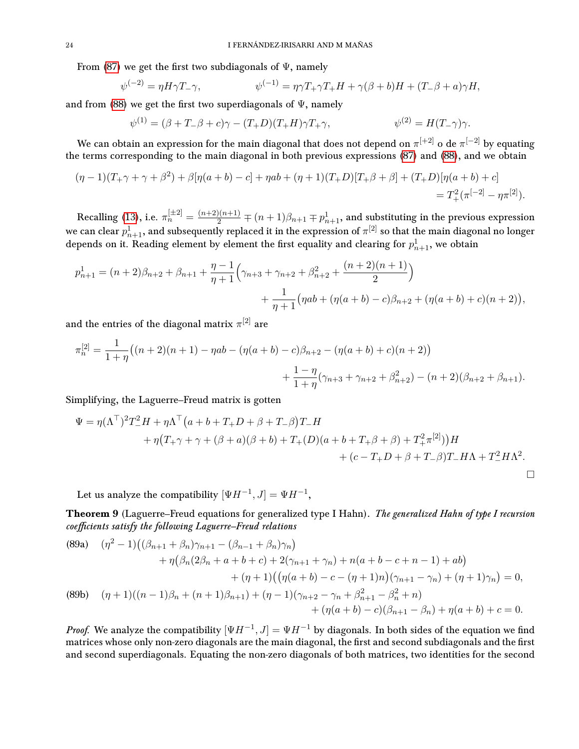From [\(87\)](#page-22-0) we get the first two subdiagonals of  $\Psi$ , namely

$$
\psi^{(-2)} = \eta H \gamma T_-\gamma, \qquad \psi^{(-1)} = \eta \gamma T_+ \gamma T_+ H + \gamma (\beta + b) H + (T_- \beta + a) \gamma H,
$$

and from [\(88\)](#page-22-1) we get the first two superdiagonals of  $\Psi$ , namely

$$
\psi^{(1)} = (\beta + T_-\beta + c)\gamma - (T_+D)(T_+H)\gamma T_+\gamma, \qquad \psi^{(2)} = H(T_-\gamma)\gamma.
$$

We can obtain an expression for the main diagonal that does not depend on  $\pi^{[+2]}$  o de  $\pi^{[-2]}$  by equating the terms corresponding to the main diagonal in both previous expressions [\(87\)](#page-22-0) and [\(88\)](#page-22-1), and we obtain

$$
(\eta - 1)(T_+\gamma + \gamma + \beta^2) + \beta[\eta(a+b) - c] + \eta ab + (\eta + 1)(T_+D)[T_+\beta + \beta] + (T_+D)[\eta(a+b) + c] = T_+^2(\pi^{[-2]} - \eta \pi^{[2]}).
$$

Recalling [\(13\)](#page-5-4), i.e.  $\pi_n^{[\pm 2]} = \frac{(n+2)(n+1)}{2} \mp (n+1)\beta_{n+1} \mp p_{n+1}^1$ , and substituting in the previous expression we can clear  $p^1_{n+1}$ , and subsequently replaced it in the expression of  $\pi^{[2]}$  so that the main diagonal no longer depends on it. Reading element by element the first equality and clearing for  $p_{n+1}^1$ , we obtain

$$
p_{n+1}^1 = (n+2)\beta_{n+2} + \beta_{n+1} + \frac{\eta - 1}{\eta + 1} \left( \gamma_{n+3} + \gamma_{n+2} + \beta_{n+2}^2 + \frac{(n+2)(n+1)}{2} \right) + \frac{1}{\eta + 1} \left( \eta ab + (\eta(a+b) - c)\beta_{n+2} + (\eta(a+b) + c)(n+2) \right),
$$

and the entries of the diagonal matrix  $\pi^{[2]}$  are

$$
\pi_n^{[2]} = \frac{1}{1+\eta} \big( (n+2)(n+1) - \eta ab - (\eta(a+b) - c)\beta_{n+2} - (\eta(a+b) + c)(n+2) \big) + \frac{1-\eta}{1+\eta} (\gamma_{n+3} + \gamma_{n+2} + \beta_{n+2}^2) - (n+2)(\beta_{n+2} + \beta_{n+1}).
$$

Simplifying, the Laguerre–Freud matrix is gotten

$$
\Psi = \eta (\Lambda^{\top})^2 T_-^2 H + \eta \Lambda^{\top} (a + b + T_+ D + \beta + T_- \beta) T_- H + \eta (T_+ \gamma + \gamma + (\beta + a)(\beta + b) + T_+ (D)(a + b + T_+ \beta + \beta) + T_+^2 \pi^{[2]}) H + (c - T_+ D + \beta + T_- \beta) T_- H \Lambda + T_-^2 H \Lambda^2.
$$

Let us analyze the compatibility  $[\Psi H^{-1}, J] = \Psi H^{-1}$ ,

<span id="page-23-0"></span>Theorem 9 (Laguerre–Freud equations for generalized type I Hahn). The generalized Hahn of type I recursion coefficients satisfy the following Laguerre-Freud relations

<span id="page-23-1"></span>(89a) 
$$
(\eta^2 - 1)((\beta_{n+1} + \beta_n)\gamma_{n+1} - (\beta_{n-1} + \beta_n)\gamma_n) + \eta(\beta_n(2\beta_n + a + b + c) + 2(\gamma_{n+1} + \gamma_n) + n(a + b - c + n - 1) + ab) + (\eta + 1)((\eta(a + b) - c - (\eta + 1)n)(\gamma_{n+1} - \gamma_n) + (\eta + 1)\gamma_n) = 0,
$$
  
(89b) 
$$
(\eta + 1)((n-1)\beta_n + (n+1)\beta_{n+1}) + (\eta - 1)(\gamma_{n+2} - \gamma_n + \beta_{n+1}^2 - \beta_n^2 + n) + (\eta(a + b) - c)(\beta_{n+1} - \beta_n) + \eta(a + b) + c = 0.
$$

<span id="page-23-2"></span>*Proof.* We analyze the compatibility  $[\Psi H^{-1}, J] = \Psi H^{-1}$  by diagonals. In both sides of the equation we find matrices whose only non-zero diagonals are the main diagonal, the first and second subdiagonals and the first and second superdiagonals. Equating the non-zero diagonals of both matrices, two identities for the second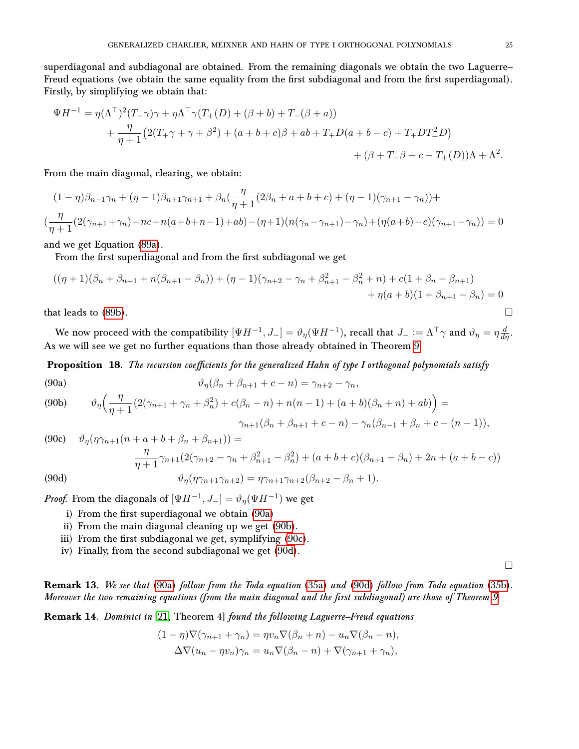superdiagonal and subdiagonal are obtained. From the remaining diagonals we obtain the two Laguerre– Freud equations (we obtain the same equality from the first subdiagonal and from the first superdiagonal). Firstly, by simplifying we obtain that:

$$
\Psi H^{-1} = \eta (\Lambda^{\top})^2 (T_{-} \gamma) \gamma + \eta \Lambda^{\top} \gamma (T_{+}(D) + (\beta + b) + T_{-}(\beta + a))
$$
  
+ 
$$
\frac{\eta}{\eta + 1} (2(T_{+} \gamma + \gamma + \beta^2) + (a + b + c)\beta + ab + T_{+}D(a + b - c) + T_{+}DT_{+}^2D)
$$
  
+ 
$$
(\beta + T_{-} \beta + c - T_{+}(D))\Lambda + \Lambda^2.
$$

From the main diagonal, clearing, we obtain:

$$
(1 - \eta)\beta_{n-1}\gamma_n + (\eta - 1)\beta_{n+1}\gamma_{n+1} + \beta_n(\frac{\eta}{\eta + 1}(2\beta_n + a + b + c) + (\eta - 1)(\gamma_{n+1} - \gamma_n)) +
$$
  

$$
(\frac{\eta}{\eta + 1}(2(\gamma_{n+1} + \gamma_n) - nc + n(a + b + n - 1) + ab) - (\eta + 1)(n(\gamma_n - \gamma_{n+1}) - \gamma_n) + (\eta(a + b) - c)(\gamma_{n+1} - \gamma_n)) = 0
$$

and we get Equation [\(89a\)](#page-23-1).

From the first superdiagonal and from the first subdiagonal we get

$$
((\eta + 1)(\beta_n + \beta_{n+1} + n(\beta_{n+1} - \beta_n)) + (\eta - 1)(\gamma_{n+2} - \gamma_n + \beta_{n+1}^2 - \beta_n^2 + n) + c(1 + \beta_n - \beta_{n+1})
$$
  
+  $\eta(a+b)(1 + \beta_{n+1} - \beta_n) = 0$ 

that leads to [\(89b\)](#page-23-2).

We now proceed with the compatibility  $[\Psi H^{-1},J_-]=\vartheta_\eta(\Psi H^{-1}),$  recall that  $J_-:=\Lambda^\top\gamma$  and  $\vartheta_\eta=\eta\frac{d}{d\eta}.$ As we will see we get no further equations than those already obtained in Theorem [9.](#page-23-0)

**Proposition 18.** The recursion coefficients for the generalized Hahn of type I orthogonal polynomials satisfy

<span id="page-24-1"></span><span id="page-24-0"></span>(90a)  
\n
$$
\vartheta_{\eta}(\beta_n + \beta_{n+1} + c - n) = \gamma_{n+2} - \gamma_n,
$$
\n(90b)  
\n
$$
\vartheta_{\eta}(\frac{\eta}{\eta + 1}(2(\gamma_{n+1} + \gamma_n + \beta_n^2) + c(\beta_n - n) + n(n-1) + (a+b)(\beta_n + n) + ab)
$$

$$
\gamma_{n+1}(\beta_n + \beta_{n+1} + c - n) - \gamma_n(\beta_{n-1} + \beta_n + c - (n-1)),
$$

<span id="page-24-2"></span>(90c) 
$$
\vartheta_{\eta}(\eta\gamma_{n+1}(n+a+b+\beta_{n}+\beta_{n+1})) =
$$

$$
\frac{\eta}{\eta+1}\gamma_{n+1}(2(\gamma_{n+2}-\gamma_{n}+\beta_{n+1}^{2}-\beta_{n}^{2})+(a+b+c)(\beta_{n+1}-\beta_{n})+2n+(a+b-c))
$$
  
(90d) 
$$
\vartheta_{\eta}(\eta\gamma_{n+1}\gamma_{n+2}) = \eta\gamma_{n+1}\gamma_{n+2}(\beta_{n+2}-\beta_{n}+1).
$$

<span id="page-24-3"></span>*Proof.* From the diagonals of  $[\Psi H^{-1}, J_{-}] = \vartheta_{\eta}(\Psi H^{-1})$  we get

- i) From the first superdiagonal we obtain [\(90a\)](#page-24-0)
- ii) From the main diagonal cleaning up we get [\(90b\)](#page-24-1).
- iii) From the first subdiagonal we get, symplifying [\(90c\)](#page-24-2).
- iv) Finally, from the second subdiagonal we get [\(90d\)](#page-24-3).

 $\Box$ 

 $=$ 

**Remark 13.** We see that [\(90a\)](#page-24-0) follow from the Toda equation [\(35a\)](#page-7-6) and [\(90d\)](#page-24-3) follow from Toda equation [\(35b\)](#page-7-4). Moreover the two remaining equations (from the main diagonal and the first subdiagonal) are those of Theorem [9.](#page-23-0)

Remark 14. Dominici in [\[21,](#page-26-5) Theorem 4] found the following Laguerre–Freud equations

$$
(1 - \eta)\nabla(\gamma_{n+1} + \gamma_n) = \eta v_n \nabla(\beta_n + n) - u_n \nabla(\beta_n - n),
$$
  

$$
\Delta \nabla(u_n - \eta v_n)\gamma_n = u_n \nabla(\beta_n - n) + \nabla(\gamma_{n+1} + \gamma_n),
$$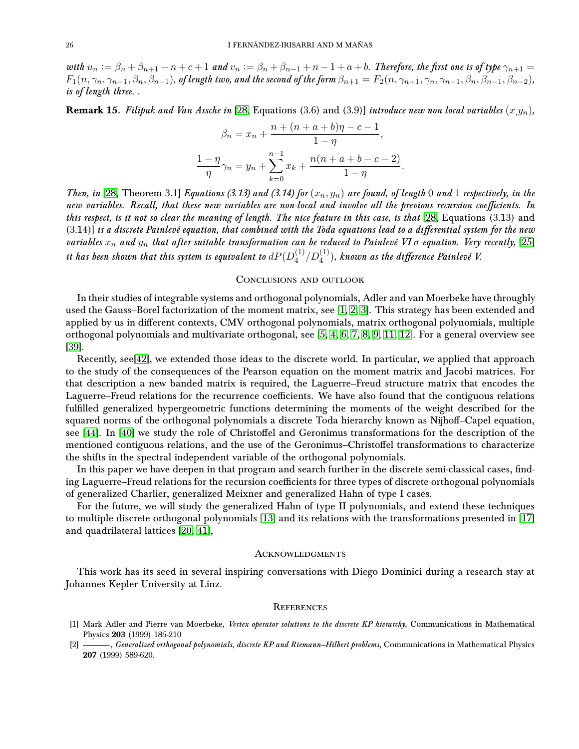with  $u_n := \beta_n + \beta_{n+1} - n + c + 1$  and  $v_n := \beta_n + \beta_{n-1} + n - 1 + a + b$ . Therefore, the first one is of type  $\gamma_{n+1} =$  $F_1(n, \gamma_n, \gamma_{n-1}, \beta_n, \beta_{n-1}),$  of length two, and the second of the form  $\beta_{n+1} = F_2(n, \gamma_{n+1}, \gamma_n, \gamma_{n-1}, \beta_n, \beta_{n-1}, \beta_{n-2}),$ is of length three. .

**Remark 15.** Filipuk and Van Assche in [\[28,](#page-26-10) Equations (3.6) and (3.9)] introduce new non local variables  $(x,y_n)$ ,

$$
\beta_n = x_n + \frac{n + (n + a + b)\eta - c - 1}{1 - \eta},
$$
  

$$
\frac{1 - \eta}{\eta} \gamma_n = y_n + \sum_{k=0}^{n-1} x_k + \frac{n(n + a + b - c - 2)}{1 - \eta}
$$

.

Then, in [\[28,](#page-26-10) Theorem 3.1] Equations (3.13) and (3.14) for  $(x_n, y_n)$  are found, of length 0 and 1 respectively, in the new variables. Recall, that these new variables are non-local and involve all the previous recursion coefficients. In this respect, is it not so clear the meaning of length. The nice feature in this case, is that [\[28,](#page-26-10) Equations (3.13) and  $(3.14)$ ] is a discrete Painlevé equation, that combined with the Toda equations lead to a differential system for the new variables  $x_n$  and  $y_n$  that after suitable transformation can be reduced to Painlevé VI  $\sigma$ -equation. Very recently, [\[25\]](#page-26-13) it has been shown that this system is equivalent to  $dP(D_4^{(1)})$  $\chi_4^{(1)}/D_4^{(1)}),$  known as the difference Painlevé V.

## <span id="page-25-0"></span>Conclusions and outlook

In their studies of integrable systems and orthogonal polynomials, Adler and van Moerbeke have throughly used the Gauss–Borel factorization of the moment matrix, see [\[1,](#page-25-3) [2,](#page-25-4) [3\]](#page-26-17). This strategy has been extended and applied by us in different contexts, CMV orthogonal polynomials, matrix orthogonal polynomials, multiple orthogonal polynomials and multivariate orthogonal, see [\[5,](#page-26-18) [4,](#page-26-19) [6,](#page-26-20) [7,](#page-26-21) [8,](#page-26-22) [9,](#page-26-23) [11,](#page-26-24) [12\]](#page-26-25). For a general overview see [\[39\]](#page-27-15).

Recently, see[\[42\]](#page-27-4), we extended those ideas to the discrete world. In particular, we applied that approach to the study of the consequences of the Pearson equation on the moment matrix and Jacobi matrices. For that description a new banded matrix is required, the Laguerre–Freud structure matrix that encodes the Laguerre–Freud relations for the recurrence coefficients. We have also found that the contiguous relations fulfilled generalized hypergeometric functions determining the moments of the weight described for the squared norms of the orthogonal polynomials a discrete Toda hierarchy known as Nijhoff-Capel equation, see [\[44\]](#page-27-5). In [\[40\]](#page-27-6) we study the role of Christoffel and Geronimus transformations for the description of the mentioned contiguous relations, and the use of the Geronimus–Christoffel transformations to characterize the shifts in the spectral independent variable of the orthogonal polynomials.

In this paper we have deepen in that program and search further in the discrete semi-classical cases, finding Laguerre–Freud relations for the recursion coefficients for three types of discrete orthogonal polynomials of generalized Charlier, generalized Meixner and generalized Hahn of type I cases.

For the future, we will study the generalized Hahn of type II polynomials, and extend these techniques to multiple discrete orthogonal polynomials [\[13\]](#page-26-26) and its relations with the transformations presented in [\[17\]](#page-26-27) and quadrilateral lattices [\[20,](#page-26-28) [41\]](#page-27-16),

### <span id="page-25-1"></span>**ACKNOWLEDGMENTS**

This work has its seed in several inspiring conversations with Diego Dominici during a research stay at Johannes Kepler University at Linz.

### <span id="page-25-2"></span>**REFERENCES**

- <span id="page-25-3"></span>[1] Mark Adler and Pierre van Moerbeke, Vertex operator solutions to the discrete KP hierarchy, Communications in Mathematical Physics 203 (1999) 185-210
- <span id="page-25-4"></span>[2] - Generalized orthogonal polynomials, discrete KP and Riemann-Hilbert problems, Communications in Mathematical Physics 207 (1999) 589-620.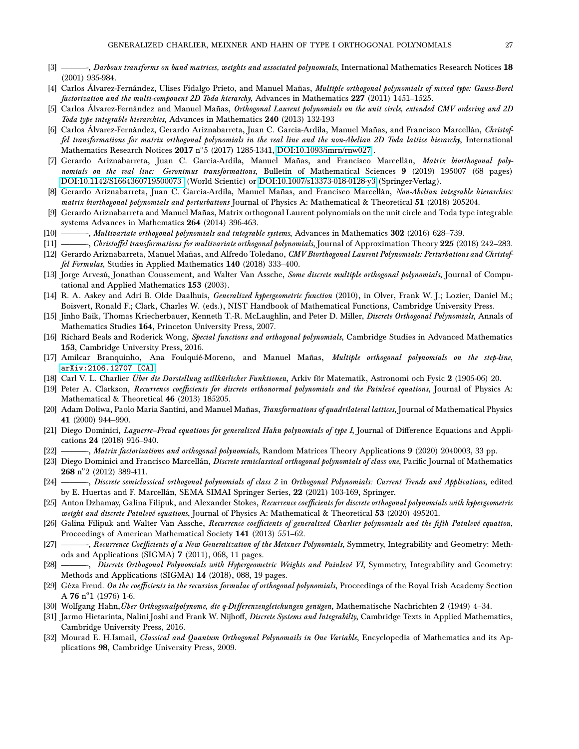- <span id="page-26-17"></span>[3] - Darboux transforms on band matrices, weights and associated polynomials, International Mathematics Research Notices 18 (2001) 935-984.
- <span id="page-26-19"></span>[4] Carlos Álvarez-Fernández, Ulises Fidalgo Prieto, and Manuel Mañas, Multiple orthogonal polynomials of mixed type: Gauss-Borel factorization and the multi-component 2D Toda hierarchy, Advances in Mathematics 227 (2011) 1451–1525.
- <span id="page-26-18"></span>[5] Carlos Álvarez-Fernández and Manuel Mañas, Orthogonal Laurent polynomials on the unit circle, extended CMV ordering and 2D Toda type integrable hierarchies, Advances in Mathematics 240 (2013) 132-193
- <span id="page-26-20"></span>[6] Carlos Álvarez-Fernández, Gerardo Ariznabarreta, Juan C. García-Ardila, Manuel Mañas, and Francisco Marcellán, Christoffel transformations for matrix orthogonal polynomials in the real line and the non-Abelian 2D Toda lattice hierarchy, International Mathematics Research Notices  ${\rm 2017}$  n°5 (2017) 1285-1341, [DOI:10.1093/imrn/rnw027](https://doi.org/10.1093/imrn/rnw027) .
- <span id="page-26-21"></span>[7] Gerardo Ariznabarreta, Juan C. García-Ardila, Manuel Mañas, and Francisco Marcellán, Matrix biorthogonal polynomials on the real line: Geronimus transformations, Bulletin of Mathematical Sciences 9 (2019) 195007 (68 pages) [DOI:10.1142/S1664360719500073](https://doi.org/10.1142/S1664360719500073) (World Scientic) or [DOI:10.1007/s13373-018-0128-y3](https://doi.org/10.1007/s13373-018-0128-y) (Springer-Verlag).
- <span id="page-26-22"></span>[8] Gerardo Ariznabarreta, Juan C. García-Ardila, Manuel Mañas, and Francisco Marcellán, Non-Abelian integrable hierarchies: matrix biorthogonal polynomials and perturbations Journal of Physics A: Mathematical & Theoretical 51 (2018) 205204.
- <span id="page-26-23"></span>[9] Gerardo Ariznabarreta and Manuel Mañas, Matrix orthogonal Laurent polynomials on the unit circle and Toda type integrable systems Advances in Mathematics 264 (2014) 396-463.
- [10] ——, Multivariate orthogonal polynomials and integrable systems, Advances in Mathematics 302 (2016) 628–739.
- <span id="page-26-24"></span>[11] ——, Christoffel transformations for multivariate orthogonal polynomials, Journal of Approximation Theory 225 (2018) 242-283.
- <span id="page-26-25"></span>[12] Gerardo Ariznabarreta, Manuel Mañas, and Alfredo Toledano, CMV Biorthogonal Laurent Polynomials: Perturbations and Christoffel Formulas, Studies in Applied Mathematics 140 (2018) 333-400.
- <span id="page-26-26"></span>[13] Jorge Arvesú, Jonathan Coussement, and Walter Van Assche, Some discrete multiple orthogonal polynomials, Journal of Computational and Applied Mathematics 153 (2003).
- <span id="page-26-14"></span>[14] R. A. Askey and Adri B. Olde Daalhuis, Generalized hypergeometric function (2010), in Olver, Frank W. J.; Lozier, Daniel M.; Boisvert, Ronald F.; Clark, Charles W. (eds.), NIST Handbook of Mathematical Functions, Cambridge University Press.
- <span id="page-26-0"></span>[15] Jinho Baik, Thomas Kriecherbauer, Kenneth T.-R. McLaughlin, and Peter D. Miller, *Discrete Orthogonal Polynomials*, Annals of Mathematics Studies 164, Princeton University Press, 2007.
- <span id="page-26-2"></span>[16] Richard Beals and Roderick Wong, Special functions and orthogonal polynomials, Cambridge Studies in Advanced Mathematics 153, Cambridge University Press, 2016.
- <span id="page-26-27"></span>[17] Amílcar Branquinho, Ana Foulquié-Moreno, and Manuel Mañas, Multiple orthogonal polynomials on the step-line, [arXiv:2106.12707 \[CA\]](https://arxiv.org/abs/2106.12707).
- <span id="page-26-15"></span>[18] Carl V. L. Charlier Über die Darstellung willkürlicher Funktionen, Arkiv för Matematik, Astronomi och Fysic 2 (1905-06) 20.
- <span id="page-26-7"></span>[19] Peter A. Clarkson, Recurrence coefficients for discrete orthonormal polynomials and the Painlevé equations, Journal of Physics A: Mathematical & Theoretical 46 (2013) 185205.
- <span id="page-26-28"></span>[20] Adam Doliwa, Paolo Maria Santini, and Manuel Mañas, Transformations of quadrilateral lattices, Journal of Mathematical Physics 41 (2000) 944–990.
- <span id="page-26-5"></span>[21] Diego Dominici, Laguerre–Freud equations for generalized Hahn polynomials of type I, Journal of Difference Equations and Applications 24 (2018) 916–940.
- <span id="page-26-6"></span>[22] ——, Matrix factorizations and orthogonal polynomials, Random Matrices Theory Applications 9 (2020) 2040003, 33 pp.
- <span id="page-26-3"></span>[23] Diego Dominici and Francisco Marcellán, Discrete semiclassical orthogonal polynomials of class one, Pacific Journal of Mathematics  $268$  n°2 (2012) 389-411.
- <span id="page-26-4"></span>[24] ——, Discrete semiclassical orthogonal polynomials of class 2 in Orthogonal Polynomials: Current Trends and Applications, edited by E. Huertas and F. Marcellán, SEMA SIMAI Springer Series, 22 (2021) 103-169, Springer.
- <span id="page-26-13"></span>[25] Anton Dzhamay, Galina Filipuk, and Alexander Stokes, Recurrence coefficients for discrete orthogonal polynomials with hypergeometric weight and discrete Painlevé equations, Journal of Physics A: Mathematical & Theoretical 53 (2020) 495201.
- <span id="page-26-8"></span>[26] Galina Filipuk and Walter Van Assche, Recurrence coefficients of generalized Charlier polynomials and the fifth Painlevé equation, Proceedings of American Mathematical Society 141 (2013) 551–62.
- <span id="page-26-9"></span>[27] ———, Recurrence Coefficients of a New Generalization of the Meixner Polynomials, Symmetry, Integrability and Geometry: Methods and Applications (SIGMA) 7 (2011), 068, 11 pages.
- <span id="page-26-10"></span>[28] ——, Discrete Orthogonal Polynomials with Hypergeometric Weights and Painlevé VI, Symmetry, Integrability and Geometry: Methods and Applications (SIGMA) 14 (2018), 088, 19 pages.
- <span id="page-26-12"></span>[29] Géza Freud. On the coefficients in the recursion formulae of orthogonal polynomials, Proceedings of the Royal Irish Academy Section A 76  $n^{\circ}1$  (1976) 1-6.
- <span id="page-26-16"></span>[30] Wolfgang Hahn, Über Orthogonalpolynome, die q-Differenzengleichungen genügen, Mathematische Nachrichten 2 (1949) 4–34.
- <span id="page-26-11"></span>[31] Jarmo Hietarinta, Nalini Joshi and Frank W. Nijhoff, *Discrete Systems and Integrabilty*, Cambridge Texts in Applied Mathematics, Cambridge University Press, 2016.
- <span id="page-26-1"></span>[32] Mourad E. H.Ismail, Classical and Quantum Orthogonal Polynomails in One Variable, Encyclopedia of Mathematics and its Applications 98, Cambridge University Press, 2009.